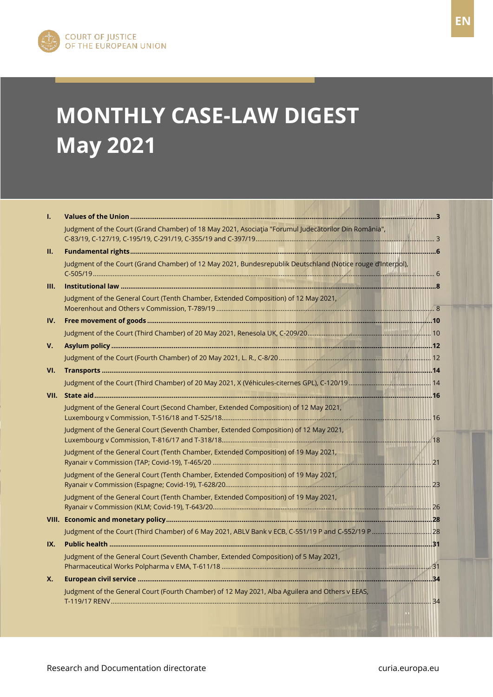

# **MONTHLY CASE-LAW DIGEST May 2021**

| Ī.  |                                                                                                             |  |
|-----|-------------------------------------------------------------------------------------------------------------|--|
|     | Judgment of the Court (Grand Chamber) of 18 May 2021, Asociația "Forumul Judecătorilor Din România",        |  |
| П.  |                                                                                                             |  |
|     | Judgment of the Court (Grand Chamber) of 12 May 2021, Bundesrepublik Deutschland (Notice rouge d'Interpol), |  |
| Ш.  |                                                                                                             |  |
|     | Judgment of the General Court (Tenth Chamber, Extended Composition) of 12 May 2021,                         |  |
| IV. |                                                                                                             |  |
|     |                                                                                                             |  |
| V.  |                                                                                                             |  |
|     |                                                                                                             |  |
| VI. |                                                                                                             |  |
|     |                                                                                                             |  |
|     |                                                                                                             |  |
|     | Judgment of the General Court (Second Chamber, Extended Composition) of 12 May 2021,                        |  |
|     | Judgment of the General Court (Seventh Chamber, Extended Composition) of 12 May 2021,                       |  |
|     | Judgment of the General Court (Tenth Chamber, Extended Composition) of 19 May 2021,                         |  |
|     | Judgment of the General Court (Tenth Chamber, Extended Composition) of 19 May 2021,                         |  |
|     | Judgment of the General Court (Tenth Chamber, Extended Composition) of 19 May 2021,                         |  |
|     |                                                                                                             |  |
|     |                                                                                                             |  |
| IX. |                                                                                                             |  |
|     | Judgment of the General Court (Seventh Chamber, Extended Composition) of 5 May 2021,                        |  |
| X.  |                                                                                                             |  |
|     | Judgment of the General Court (Fourth Chamber) of 12 May 2021, Alba Aguilera and Others v EEAS,             |  |

 $\overline{\phantom{a}}$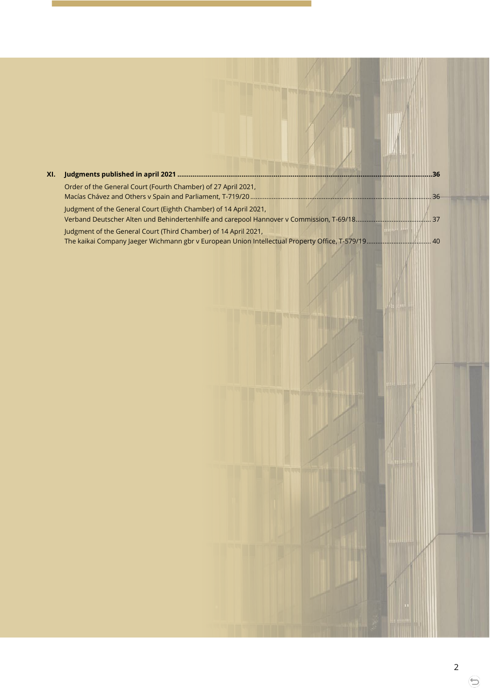| XI. |                                                                  | 36 |
|-----|------------------------------------------------------------------|----|
|     | Order of the General Court (Fourth Chamber) of 27 April 2021,    |    |
|     | Judgment of the General Court (Eighth Chamber) of 14 April 2021, |    |
|     | Judgment of the General Court (Third Chamber) of 14 April 2021,  |    |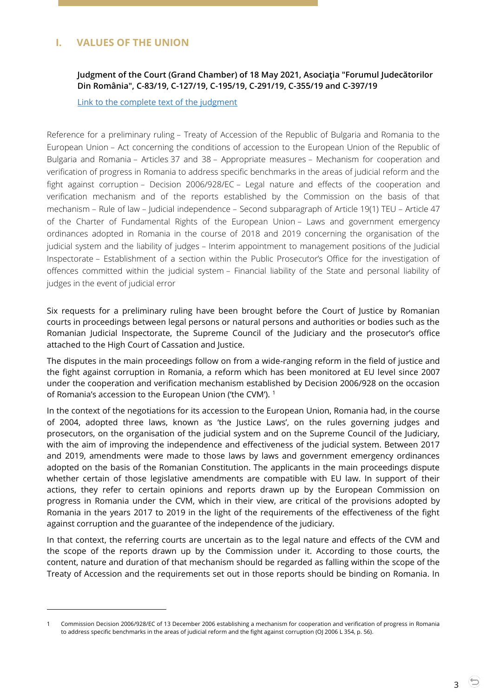# <span id="page-2-1"></span><span id="page-2-0"></span>**I. VALUES OF THE UNION**

 $\overline{a}$ 

# **Judgment of the Court (Grand Chamber) of 18 May 2021, Asociaţia "Forumul Judecătorilor Din România", C-83/19, C-127/19, C-195/19, C-291/19, C-355/19 and C-397/19**

[Link to the complete text of the judgment](https://curia.europa.eu/juris/document/document.jsf?text=&docid=241381&pageIndex=0&doclang=en&mode=lst&dir=&occ=first&part=1&cid=13012469)

Reference for a preliminary ruling – Treaty of Accession of the Republic of Bulgaria and Romania to the European Union – Act concerning the conditions of accession to the European Union of the Republic of Bulgaria and Romania – Articles 37 and 38 – Appropriate measures – Mechanism for cooperation and verification of progress in Romania to address specific benchmarks in the areas of judicial reform and the fight against corruption – Decision 2006/928/EC – Legal nature and effects of the cooperation and verification mechanism and of the reports established by the Commission on the basis of that mechanism – Rule of law – Judicial independence – Second subparagraph of Article 19(1) TEU – Article 47 of the Charter of Fundamental Rights of the European Union – Laws and government emergency ordinances adopted in Romania in the course of 2018 and 2019 concerning the organisation of the judicial system and the liability of judges – Interim appointment to management positions of the Judicial Inspectorate – Establishment of a section within the Public Prosecutor's Office for the investigation of offences committed within the judicial system – Financial liability of the State and personal liability of judges in the event of judicial error

Six requests for a preliminary ruling have been brought before the Court of Justice by Romanian courts in proceedings between legal persons or natural persons and authorities or bodies such as the Romanian Judicial Inspectorate, the Supreme Council of the Judiciary and the prosecutor's office attached to the High Court of Cassation and Justice.

The disputes in the main proceedings follow on from a wide-ranging reform in the field of justice and the fight against corruption in Romania, a reform which has been monitored at EU level since 2007 under the cooperation and verification mechanism established by Decision 2006/928 on the occasion of Romania's accession to the European Union ('the CVM').<sup>1</sup>

In the context of the negotiations for its accession to the European Union, Romania had, in the course of 2004, adopted three laws, known as 'the Justice Laws', on the rules governing judges and prosecutors, on the organisation of the judicial system and on the Supreme Council of the Judiciary, with the aim of improving the independence and effectiveness of the judicial system. Between 2017 and 2019, amendments were made to those laws by laws and government emergency ordinances adopted on the basis of the Romanian Constitution. The applicants in the main proceedings dispute whether certain of those legislative amendments are compatible with EU law. In support of their actions, they refer to certain opinions and reports drawn up by the European Commission on progress in Romania under the CVM, which in their view, are critical of the provisions adopted by Romania in the years 2017 to 2019 in the light of the requirements of the effectiveness of the fight against corruption and the guarantee of the independence of the judiciary.

In that context, the referring courts are uncertain as to the legal nature and effects of the CVM and the scope of the reports drawn up by the Commission under it. According to those courts, the content, nature and duration of that mechanism should be regarded as falling within the scope of the Treaty of Accession and the requirements set out in those reports should be binding on Romania. In

<sup>1</sup> Commission Decision 2006/928/EC of 13 December 2006 establishing a mechanism for cooperation and verification of progress in Romania to address specific benchmarks in the areas of judicial reform and the fight against corruption (OJ 2006 L 354, p. 56).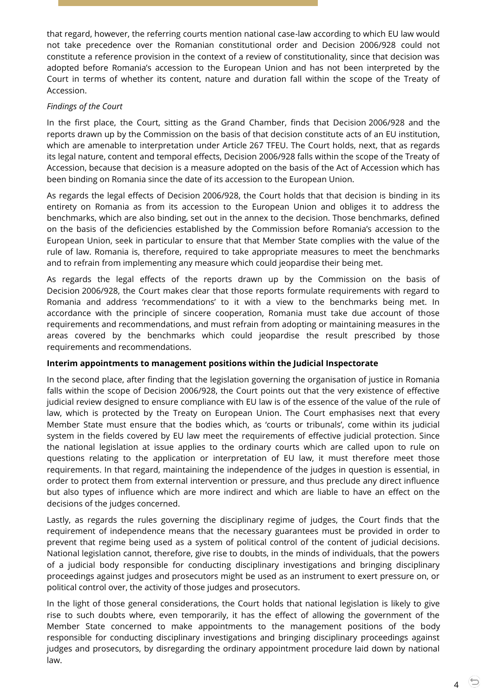that regard, however, the referring courts mention national case-law according to which EU law would not take precedence over the Romanian constitutional order and Decision 2006/928 could not constitute a reference provision in the context of a review of constitutionality, since that decision was adopted before Romania's accession to the European Union and has not been interpreted by the Court in terms of whether its content, nature and duration fall within the scope of the Treaty of Accession.

# *Findings of the Court*

In the first place, the Court, sitting as the Grand Chamber, finds that Decision 2006/928 and the reports drawn up by the Commission on the basis of that decision constitute acts of an EU institution, which are amenable to interpretation under Article 267 TFEU. The Court holds, next, that as regards its legal nature, content and temporal effects, Decision 2006/928 falls within the scope of the Treaty of Accession, because that decision is a measure adopted on the basis of the Act of Accession which has been binding on Romania since the date of its accession to the European Union.

As regards the legal effects of Decision 2006/928, the Court holds that that decision is binding in its entirety on Romania as from its accession to the European Union and obliges it to address the benchmarks, which are also binding, set out in the annex to the decision. Those benchmarks, defined on the basis of the deficiencies established by the Commission before Romania's accession to the European Union, seek in particular to ensure that that Member State complies with the value of the rule of law. Romania is, therefore, required to take appropriate measures to meet the benchmarks and to refrain from implementing any measure which could jeopardise their being met.

As regards the legal effects of the reports drawn up by the Commission on the basis of Decision 2006/928, the Court makes clear that those reports formulate requirements with regard to Romania and address 'recommendations' to it with a view to the benchmarks being met. In accordance with the principle of sincere cooperation, Romania must take due account of those requirements and recommendations, and must refrain from adopting or maintaining measures in the areas covered by the benchmarks which could jeopardise the result prescribed by those requirements and recommendations.

# **Interim appointments to management positions within the Judicial Inspectorate**

In the second place, after finding that the legislation governing the organisation of justice in Romania falls within the scope of Decision 2006/928, the Court points out that the very existence of effective judicial review designed to ensure compliance with EU law is of the essence of the value of the rule of law, which is protected by the Treaty on European Union. The Court emphasises next that every Member State must ensure that the bodies which, as 'courts or tribunals', come within its judicial system in the fields covered by EU law meet the requirements of effective judicial protection. Since the national legislation at issue applies to the ordinary courts which are called upon to rule on questions relating to the application or interpretation of EU law, it must therefore meet those requirements. In that regard, maintaining the independence of the judges in question is essential, in order to protect them from external intervention or pressure, and thus preclude any direct influence but also types of influence which are more indirect and which are liable to have an effect on the decisions of the judges concerned.

Lastly, as regards the rules governing the disciplinary regime of judges, the Court finds that the requirement of independence means that the necessary guarantees must be provided in order to prevent that regime being used as a system of political control of the content of judicial decisions. National legislation cannot, therefore, give rise to doubts, in the minds of individuals, that the powers of a judicial body responsible for conducting disciplinary investigations and bringing disciplinary proceedings against judges and prosecutors might be used as an instrument to exert pressure on, or political control over, the activity of those judges and prosecutors.

In the light of those general considerations, the Court holds that national legislation is likely to give rise to such doubts where, even temporarily, it has the effect of allowing the government of the Member State concerned to make appointments to the management positions of the body responsible for conducting disciplinary investigations and bringing disciplinary proceedings against judges and prosecutors, by disregarding the ordinary appointment procedure laid down by national law.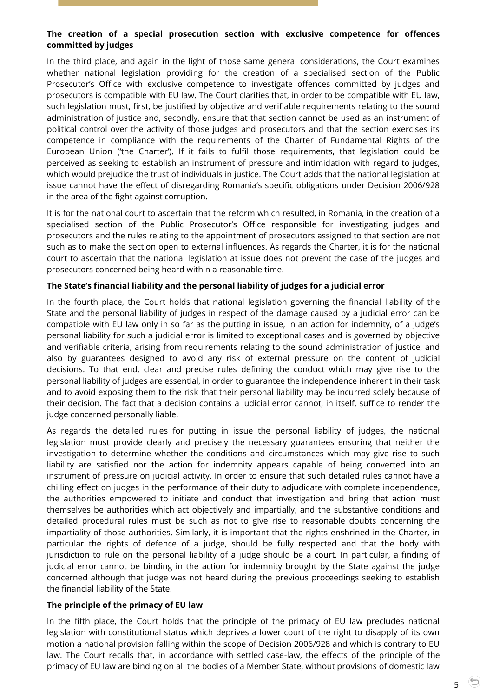# **The creation of a special prosecution section with exclusive competence for offences committed by judges**

In the third place, and again in the light of those same general considerations, the Court examines whether national legislation providing for the creation of a specialised section of the Public Prosecutor's Office with exclusive competence to investigate offences committed by judges and prosecutors is compatible with EU law. The Court clarifies that, in order to be compatible with EU law, such legislation must, first, be justified by objective and verifiable requirements relating to the sound administration of justice and, secondly, ensure that that section cannot be used as an instrument of political control over the activity of those judges and prosecutors and that the section exercises its competence in compliance with the requirements of the Charter of Fundamental Rights of the European Union ('the Charter'). If it fails to fulfil those requirements, that legislation could be perceived as seeking to establish an instrument of pressure and intimidation with regard to judges, which would prejudice the trust of individuals in justice. The Court adds that the national legislation at issue cannot have the effect of disregarding Romania's specific obligations under Decision 2006/928 in the area of the fight against corruption.

It is for the national court to ascertain that the reform which resulted, in Romania, in the creation of a specialised section of the Public Prosecutor's Office responsible for investigating judges and prosecutors and the rules relating to the appointment of prosecutors assigned to that section are not such as to make the section open to external influences. As regards the Charter, it is for the national court to ascertain that the national legislation at issue does not prevent the case of the judges and prosecutors concerned being heard within a reasonable time.

## **The State's financial liability and the personal liability of judges for a judicial error**

In the fourth place, the Court holds that national legislation governing the financial liability of the State and the personal liability of judges in respect of the damage caused by a judicial error can be compatible with EU law only in so far as the putting in issue, in an action for indemnity, of a judge's personal liability for such a judicial error is limited to exceptional cases and is governed by objective and verifiable criteria, arising from requirements relating to the sound administration of justice, and also by guarantees designed to avoid any risk of external pressure on the content of judicial decisions. To that end, clear and precise rules defining the conduct which may give rise to the personal liability of judges are essential, in order to guarantee the independence inherent in their task and to avoid exposing them to the risk that their personal liability may be incurred solely because of their decision. The fact that a decision contains a judicial error cannot, in itself, suffice to render the judge concerned personally liable.

As regards the detailed rules for putting in issue the personal liability of judges, the national legislation must provide clearly and precisely the necessary guarantees ensuring that neither the investigation to determine whether the conditions and circumstances which may give rise to such liability are satisfied nor the action for indemnity appears capable of being converted into an instrument of pressure on judicial activity. In order to ensure that such detailed rules cannot have a chilling effect on judges in the performance of their duty to adjudicate with complete independence, the authorities empowered to initiate and conduct that investigation and bring that action must themselves be authorities which act objectively and impartially, and the substantive conditions and detailed procedural rules must be such as not to give rise to reasonable doubts concerning the impartiality of those authorities. Similarly, it is important that the rights enshrined in the Charter, in particular the rights of defence of a judge, should be fully respected and that the body with jurisdiction to rule on the personal liability of a judge should be a court. In particular, a finding of judicial error cannot be binding in the action for indemnity brought by the State against the judge concerned although that judge was not heard during the previous proceedings seeking to establish the financial liability of the State.

#### **The principle of the primacy of EU law**

In the fifth place, the Court holds that the principle of the primacy of EU law precludes national legislation with constitutional status which deprives a lower court of the right to disapply of its own motion a national provision falling within the scope of Decision 2006/928 and which is contrary to EU law. The Court recalls that, in accordance with settled case-law, the effects of the principle of the primacy of EU law are binding on all the bodies of a Member State, without provisions of domestic law

5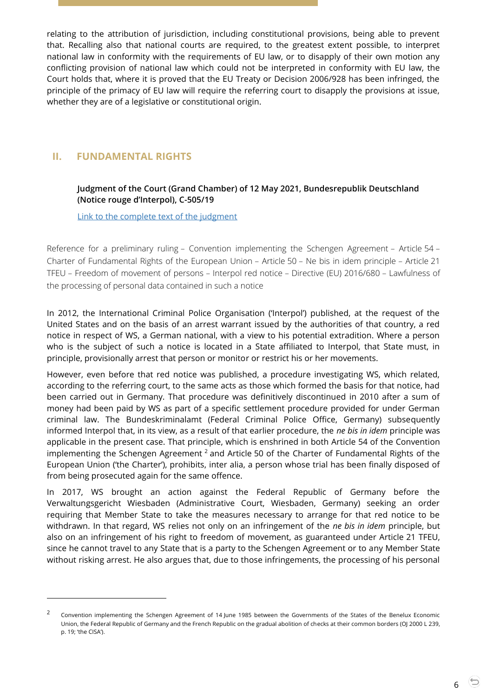relating to the attribution of jurisdiction, including constitutional provisions, being able to prevent that. Recalling also that national courts are required, to the greatest extent possible, to interpret national law in conformity with the requirements of EU law, or to disapply of their own motion any conflicting provision of national law which could not be interpreted in conformity with EU law, the Court holds that, where it is proved that the EU Treaty or Decision 2006/928 has been infringed, the principle of the primacy of EU law will require the referring court to disapply the provisions at issue, whether they are of a legislative or constitutional origin.

# <span id="page-5-1"></span><span id="page-5-0"></span>**II. FUNDAMENTAL RIGHTS**

 $\overline{a}$ 

# **Judgment of the Court (Grand Chamber) of 12 May 2021, Bundesrepublik Deutschland (Notice rouge d'Interpol), C-505/19**

[Link to the complete text of the judgment](https://curia.europa.eu/juris/document/document.jsf?text=&docid=241169&pageIndex=0&doclang=EN&mode=lst&dir=&occ=first&part=1&cid=13014111)

Reference for a preliminary ruling – Convention implementing the Schengen Agreement – Article 54 – Charter of Fundamental Rights of the European Union – Article 50 – Ne bis in idem principle – Article 21 TFEU – Freedom of movement of persons – Interpol red notice – Directive (EU) 2016/680 – Lawfulness of the processing of personal data contained in such a notice

In 2012, the International Criminal Police Organisation ('Interpol') published, at the request of the United States and on the basis of an arrest warrant issued by the authorities of that country, a red notice in respect of WS, a German national, with a view to his potential extradition. Where a person who is the subject of such a notice is located in a State affiliated to Interpol, that State must, in principle, provisionally arrest that person or monitor or restrict his or her movements.

However, even before that red notice was published, a procedure investigating WS, which related, according to the referring court, to the same acts as those which formed the basis for that notice, had been carried out in Germany. That procedure was definitively discontinued in 2010 after a sum of money had been paid by WS as part of a specific settlement procedure provided for under German criminal law. The Bundeskriminalamt (Federal Criminal Police Office, Germany) subsequently informed Interpol that, in its view, as a result of that earlier procedure, the *ne bis in idem* principle was applicable in the present case. That principle, which is enshrined in both Article 54 of the Convention implementing the Schengen Agreement  $2$  and Article 50 of the Charter of Fundamental Rights of the European Union ('the Charter'), prohibits, inter alia, a person whose trial has been finally disposed of from being prosecuted again for the same offence.

In 2017, WS brought an action against the Federal Republic of Germany before the Verwaltungsgericht Wiesbaden (Administrative Court, Wiesbaden, Germany) seeking an order requiring that Member State to take the measures necessary to arrange for that red notice to be withdrawn. In that regard, WS relies not only on an infringement of the *ne bis in idem* principle, but also on an infringement of his right to freedom of movement, as guaranteed under Article 21 TFEU, since he cannot travel to any State that is a party to the Schengen Agreement or to any Member State without risking arrest. He also argues that, due to those infringements, the processing of his personal

<sup>2</sup> Convention implementing the Schengen Agreement of 14 June 1985 between the Governments of the States of the Benelux Economic Union, the Federal Republic of Germany and the French Republic on the gradual abolition of checks at their common borders (OJ 2000 L 239, p. 19; 'the CISA').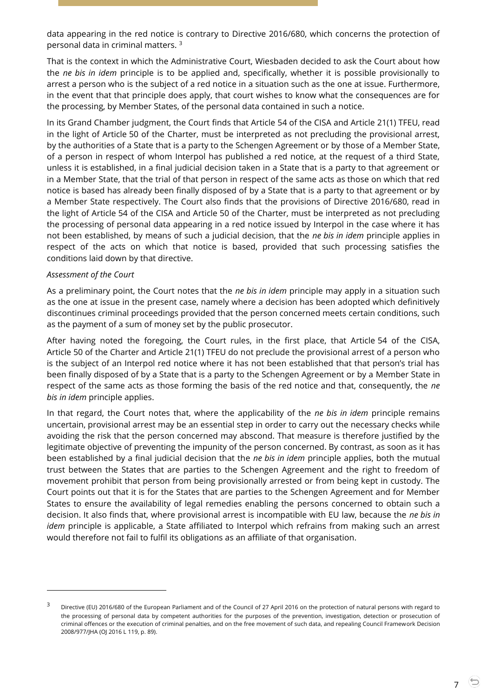data appearing in the red notice is contrary to Directive 2016/680, which concerns the protection of personal data in criminal matters. <sup>3</sup>

That is the context in which the Administrative Court, Wiesbaden decided to ask the Court about how the *ne bis in idem* principle is to be applied and, specifically, whether it is possible provisionally to arrest a person who is the subject of a red notice in a situation such as the one at issue. Furthermore, in the event that that principle does apply, that court wishes to know what the consequences are for the processing, by Member States, of the personal data contained in such a notice.

In its Grand Chamber judgment, the Court finds that Article 54 of the CISA and Article 21(1) TFEU, read in the light of Article 50 of the Charter, must be interpreted as not precluding the provisional arrest, by the authorities of a State that is a party to the Schengen Agreement or by those of a Member State, of a person in respect of whom Interpol has published a red notice, at the request of a third State, unless it is established, in a final judicial decision taken in a State that is a party to that agreement or in a Member State, that the trial of that person in respect of the same acts as those on which that red notice is based has already been finally disposed of by a State that is a party to that agreement or by a Member State respectively. The Court also finds that the provisions of Directive 2016/680, read in the light of Article 54 of the CISA and Article 50 of the Charter, must be interpreted as not precluding the processing of personal data appearing in a red notice issued by Interpol in the case where it has not been established, by means of such a judicial decision, that the *ne bis in idem* principle applies in respect of the acts on which that notice is based, provided that such processing satisfies the conditions laid down by that directive.

#### *Assessment of the Court*

-

As a preliminary point, the Court notes that the *ne bis in idem* principle may apply in a situation such as the one at issue in the present case, namely where a decision has been adopted which definitively discontinues criminal proceedings provided that the person concerned meets certain conditions, such as the payment of a sum of money set by the public prosecutor.

After having noted the foregoing, the Court rules, in the first place, that Article 54 of the CISA, Article 50 of the Charter and Article 21(1) TFEU do not preclude the provisional arrest of a person who is the subject of an Interpol red notice where it has not been established that that person's trial has been finally disposed of by a State that is a party to the Schengen Agreement or by a Member State in respect of the same acts as those forming the basis of the red notice and that, consequently, the *ne bis in idem* principle applies.

In that regard, the Court notes that, where the applicability of the *ne bis in idem* principle remains uncertain, provisional arrest may be an essential step in order to carry out the necessary checks while avoiding the risk that the person concerned may abscond. That measure is therefore justified by the legitimate objective of preventing the impunity of the person concerned. By contrast, as soon as it has been established by a final judicial decision that the *ne bis in idem* principle applies, both the mutual trust between the States that are parties to the Schengen Agreement and the right to freedom of movement prohibit that person from being provisionally arrested or from being kept in custody. The Court points out that it is for the States that are parties to the Schengen Agreement and for Member States to ensure the availability of legal remedies enabling the persons concerned to obtain such a decision. It also finds that, where provisional arrest is incompatible with EU law, because the *ne bis in idem* principle is applicable, a State affiliated to Interpol which refrains from making such an arrest would therefore not fail to fulfil its obligations as an affiliate of that organisation.

<sup>&</sup>lt;sup>3</sup> Directive (EU) 2016/680 of the European Parliament and of the Council of 27 April 2016 on the protection of natural persons with regard to the processing of personal data by competent authorities for the purposes of the prevention, investigation, detection or prosecution of criminal offences or the execution of criminal penalties, and on the free movement of such data, and repealing Council Framework Decision 2008/977/JHA (OJ 2016 L 119, p. 89).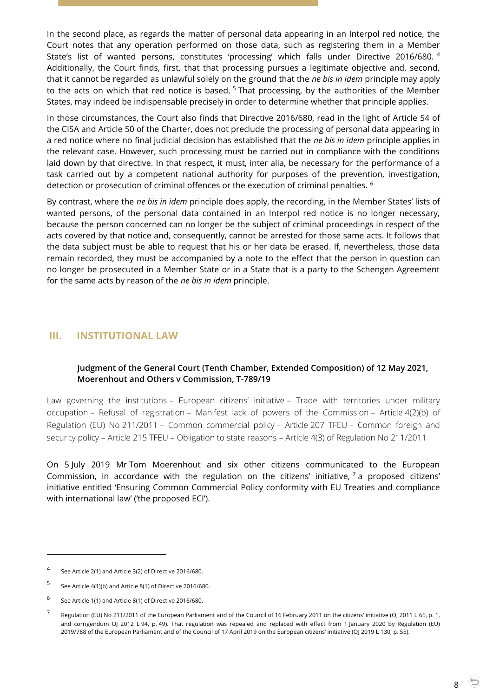In the second place, as regards the matter of personal data appearing in an Interpol red notice, the Court notes that any operation performed on those data, such as registering them in a Member State's list of wanted persons, constitutes 'processing' which falls under Directive 2016/680. <sup>4</sup> Additionally, the Court finds, first, that that processing pursues a legitimate objective and, second, that it cannot be regarded as unlawful solely on the ground that the *ne bis in idem* principle may apply to the acts on which that red notice is based.<sup>5</sup> That processing, by the authorities of the Member States, may indeed be indispensable precisely in order to determine whether that principle applies.

In those circumstances, the Court also finds that Directive 2016/680, read in the light of Article 54 of the CISA and Article 50 of the Charter, does not preclude the processing of personal data appearing in a red notice where no final judicial decision has established that the *ne bis in idem* principle applies in the relevant case. However, such processing must be carried out in compliance with the conditions laid down by that directive. In that respect, it must, inter alia, be necessary for the performance of a task carried out by a competent national authority for purposes of the prevention, investigation, detection or prosecution of criminal offences or the execution of criminal penalties. <sup>6</sup>

By contrast, where the *ne bis in idem* principle does apply, the recording, in the Member States' lists of wanted persons, of the personal data contained in an Interpol red notice is no longer necessary, because the person concerned can no longer be the subject of criminal proceedings in respect of the acts covered by that notice and, consequently, cannot be arrested for those same acts. It follows that the data subject must be able to request that his or her data be erased. If, nevertheless, those data remain recorded, they must be accompanied by a note to the effect that the person in question can no longer be prosecuted in a Member State or in a State that is a party to the Schengen Agreement for the same acts by reason of the *ne bis in idem* principle.

# <span id="page-7-1"></span><span id="page-7-0"></span>**III. INSTITUTIONAL LAW**

# **Judgment of the General Court (Tenth Chamber, Extended Composition) of 12 May 2021, Moerenhout and Others v Commission, T-789/19**

Law governing the institutions – European citizens' initiative – Trade with territories under military occupation – Refusal of registration – Manifest lack of powers of the Commission – Article 4(2)(b) of Regulation (EU) No 211/2011 – Common commercial policy – Article 207 TFEU – Common foreign and security policy – Article 215 TFEU – Obligation to state reasons – Article 4(3) of Regulation No 211/2011

On 5 July 2019 Mr Tom Moerenhout and six other citizens communicated to the European Commission, in accordance with the regulation on the citizens' initiative,  $\frac{7}{1}$  a proposed citizens' initiative entitled 'Ensuring Common Commercial Policy conformity with EU Treaties and compliance with international law' ('the proposed ECI').

 $\overline{a}$ 

8

<sup>4</sup> See Article 2(1) and Article 3(2) of Directive 2016/680.

<sup>5</sup> See Article 4(1)(b) and Article 8(1) of Directive 2016/680.

<sup>6</sup> See Article 1(1) and Article 8(1) of Directive 2016/680.

<sup>7</sup> Regulation (EU) No 211/2011 of the European Parliament and of the Council of 16 February 2011 on the citizens' initiative (OJ 2011 L 65, p. 1, and corrigendum OJ 2012 L 94, p. 49). That regulation was repealed and replaced with effect from 1 January 2020 by Regulation (EU) 2019/788 of the European Parliament and of the Council of 17 April 2019 on the European citizens' initiative (OJ 2019 L 130, p. 55).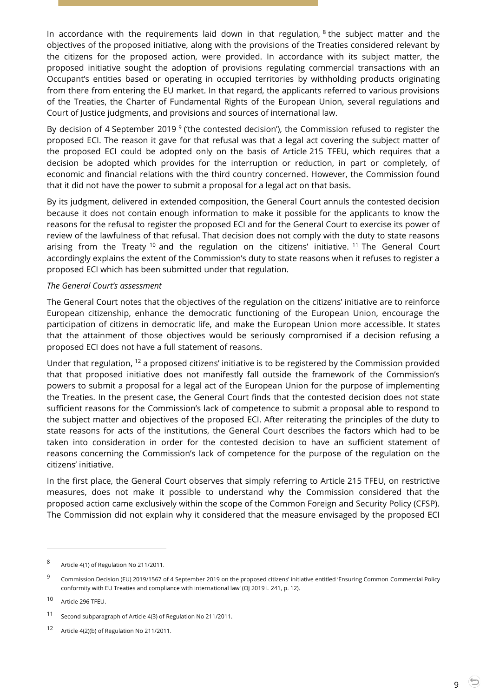In accordance with the requirements laid down in that regulation,  $8$  the subject matter and the objectives of the proposed initiative, along with the provisions of the Treaties considered relevant by the citizens for the proposed action, were provided. In accordance with its subject matter, the proposed initiative sought the adoption of provisions regulating commercial transactions with an Occupant's entities based or operating in occupied territories by withholding products originating from there from entering the EU market. In that regard, the applicants referred to various provisions of the Treaties, the Charter of Fundamental Rights of the European Union, several regulations and Court of Justice judgments, and provisions and sources of international law.

By decision of 4 September 2019  $9$  ('the contested decision'), the Commission refused to register the proposed ECI. The reason it gave for that refusal was that a legal act covering the subject matter of the proposed ECI could be adopted only on the basis of Article 215 TFEU, which requires that a decision be adopted which provides for the interruption or reduction, in part or completely, of economic and financial relations with the third country concerned. However, the Commission found that it did not have the power to submit a proposal for a legal act on that basis.

By its judgment, delivered in extended composition, the General Court annuls the contested decision because it does not contain enough information to make it possible for the applicants to know the reasons for the refusal to register the proposed ECI and for the General Court to exercise its power of review of the lawfulness of that refusal. That decision does not comply with the duty to state reasons arising from the Treaty  $10$  and the regulation on the citizens' initiative.  $11$  The General Court accordingly explains the extent of the Commission's duty to state reasons when it refuses to register a proposed ECI which has been submitted under that regulation.

#### *The General Court's assessment*

The General Court notes that the objectives of the regulation on the citizens' initiative are to reinforce European citizenship, enhance the democratic functioning of the European Union, encourage the participation of citizens in democratic life, and make the European Union more accessible. It states that the attainment of those objectives would be seriously compromised if a decision refusing a proposed ECI does not have a full statement of reasons.

Under that regulation, <sup>12</sup> a proposed citizens' initiative is to be registered by the Commission provided that that proposed initiative does not manifestly fall outside the framework of the Commission's powers to submit a proposal for a legal act of the European Union for the purpose of implementing the Treaties. In the present case, the General Court finds that the contested decision does not state sufficient reasons for the Commission's lack of competence to submit a proposal able to respond to the subject matter and objectives of the proposed ECI. After reiterating the principles of the duty to state reasons for acts of the institutions, the General Court describes the factors which had to be taken into consideration in order for the contested decision to have an sufficient statement of reasons concerning the Commission's lack of competence for the purpose of the regulation on the citizens' initiative.

In the first place, the General Court observes that simply referring to Article 215 TFEU, on restrictive measures, does not make it possible to understand why the Commission considered that the proposed action came exclusively within the scope of the Common Foreign and Security Policy (CFSP). The Commission did not explain why it considered that the measure envisaged by the proposed ECI

-

9

<sup>8</sup> Article 4(1) of Regulation No 211/2011.

<sup>9</sup> Commission Decision (EU) 2019/1567 of 4 September 2019 on the proposed citizens' initiative entitled 'Ensuring Common Commercial Policy conformity with EU Treaties and compliance with international law' (OJ 2019 L 241, p. 12).

<sup>10</sup> Article 296 TFEU.

<sup>11</sup> Second subparagraph of Article 4(3) of Regulation No 211/2011.

<sup>12</sup> Article 4(2)(b) of Regulation No 211/2011.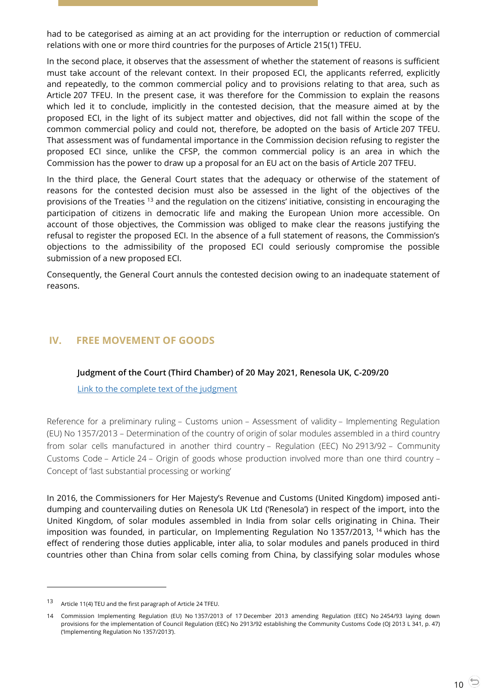had to be categorised as aiming at an act providing for the interruption or reduction of commercial relations with one or more third countries for the purposes of Article 215(1) TFEU.

In the second place, it observes that the assessment of whether the statement of reasons is sufficient must take account of the relevant context. In their proposed ECI, the applicants referred, explicitly and repeatedly, to the common commercial policy and to provisions relating to that area, such as Article 207 TFEU. In the present case, it was therefore for the Commission to explain the reasons which led it to conclude, implicitly in the contested decision, that the measure aimed at by the proposed ECI, in the light of its subject matter and objectives, did not fall within the scope of the common commercial policy and could not, therefore, be adopted on the basis of Article 207 TFEU. That assessment was of fundamental importance in the Commission decision refusing to register the proposed ECI since, unlike the CFSP, the common commercial policy is an area in which the Commission has the power to draw up a proposal for an EU act on the basis of Article 207 TFEU.

In the third place, the General Court states that the adequacy or otherwise of the statement of reasons for the contested decision must also be assessed in the light of the objectives of the provisions of the Treaties <sup>13</sup> and the regulation on the citizens' initiative, consisting in encouraging the participation of citizens in democratic life and making the European Union more accessible. On account of those objectives, the Commission was obliged to make clear the reasons justifying the refusal to register the proposed ECI. In the absence of a full statement of reasons, the Commission's objections to the admissibility of the proposed ECI could seriously compromise the possible submission of a new proposed ECI.

Consequently, the General Court annuls the contested decision owing to an inadequate statement of reasons.

# <span id="page-9-1"></span><span id="page-9-0"></span>**IV. FREE MOVEMENT OF GOODS**

#### **Judgment of the Court (Third Chamber) of 20 May 2021, Renesola UK, C-209/20**

[Link to the complete text of the judgment](https://curia.europa.eu/juris/document/document.jsf?text=&docid=241462&pageIndex=0&doclang=en&mode=lst&dir=&occ=first&part=1&cid=13016871)

Reference for a preliminary ruling – Customs union – Assessment of validity – Implementing Regulation (EU) No 1357/2013 – Determination of the country of origin of solar modules assembled in a third country from solar cells manufactured in another third country – Regulation (EEC) No 2913/92 – Community Customs Code – Article 24 – Origin of goods whose production involved more than one third country – Concept of 'last substantial processing or working'

In 2016, the Commissioners for Her Majesty's Revenue and Customs (United Kingdom) imposed antidumping and countervailing duties on Renesola UK Ltd ('Renesola') in respect of the import, into the United Kingdom, of solar modules assembled in India from solar cells originating in China. Their imposition was founded, in particular, on Implementing Regulation No 1357/2013, <sup>14</sup> which has the effect of rendering those duties applicable, inter alia, to solar modules and panels produced in third countries other than China from solar cells coming from China, by classifying solar modules whose

<sup>13</sup> Article 11(4) TEU and the first paragraph of Article 24 TFEU.

<sup>14</sup> Commission Implementing Regulation (EU) No 1357/2013 of 17 December 2013 amending Regulation (EEC) No 2454/93 laying down provisions for the implementation of Council Regulation (EEC) No 2913/92 establishing the Community Customs Code (OJ 2013 L 341, p. 47) ('Implementing Regulation No 1357/2013').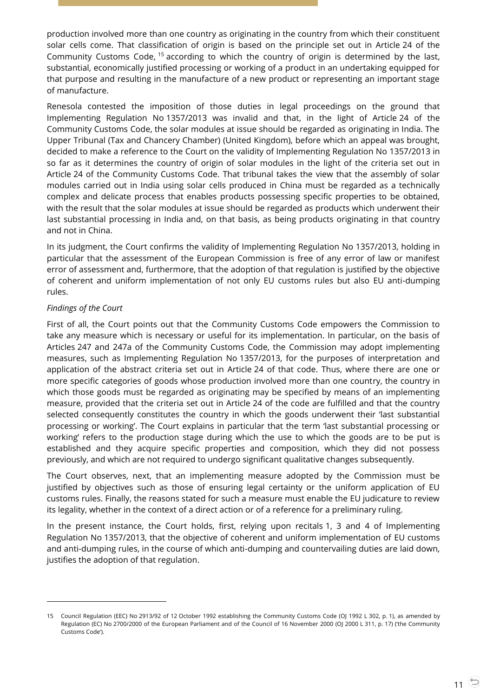production involved more than one country as originating in the country from which their constituent solar cells come. That classification of origin is based on the principle set out in Article 24 of the Community Customs Code, <sup>15</sup> according to which the country of origin is determined by the last, substantial, economically justified processing or working of a product in an undertaking equipped for that purpose and resulting in the manufacture of a new product or representing an important stage of manufacture.

Renesola contested the imposition of those duties in legal proceedings on the ground that Implementing Regulation No 1357/2013 was invalid and that, in the light of Article 24 of the Community Customs Code, the solar modules at issue should be regarded as originating in India. The Upper Tribunal (Tax and Chancery Chamber) (United Kingdom), before which an appeal was brought, decided to make a reference to the Court on the validity of Implementing Regulation No 1357/2013 in so far as it determines the country of origin of solar modules in the light of the criteria set out in Article 24 of the Community Customs Code. That tribunal takes the view that the assembly of solar modules carried out in India using solar cells produced in China must be regarded as a technically complex and delicate process that enables products possessing specific properties to be obtained, with the result that the solar modules at issue should be regarded as products which underwent their last substantial processing in India and, on that basis, as being products originating in that country and not in China.

In its judgment, the Court confirms the validity of Implementing Regulation No 1357/2013, holding in particular that the assessment of the European Commission is free of any error of law or manifest error of assessment and, furthermore, that the adoption of that regulation is justified by the objective of coherent and uniform implementation of not only EU customs rules but also EU anti-dumping rules.

## *Findings of the Court*

 $\overline{a}$ 

First of all, the Court points out that the Community Customs Code empowers the Commission to take any measure which is necessary or useful for its implementation. In particular, on the basis of Articles 247 and 247a of the Community Customs Code, the Commission may adopt implementing measures, such as Implementing Regulation No 1357/2013, for the purposes of interpretation and application of the abstract criteria set out in Article 24 of that code. Thus, where there are one or more specific categories of goods whose production involved more than one country, the country in which those goods must be regarded as originating may be specified by means of an implementing measure, provided that the criteria set out in Article 24 of the code are fulfilled and that the country selected consequently constitutes the country in which the goods underwent their 'last substantial processing or working'. The Court explains in particular that the term 'last substantial processing or working' refers to the production stage during which the use to which the goods are to be put is established and they acquire specific properties and composition, which they did not possess previously, and which are not required to undergo significant qualitative changes subsequently.

The Court observes, next, that an implementing measure adopted by the Commission must be justified by objectives such as those of ensuring legal certainty or the uniform application of EU customs rules. Finally, the reasons stated for such a measure must enable the EU judicature to review its legality, whether in the context of a direct action or of a reference for a preliminary ruling.

In the present instance, the Court holds, first, relying upon recitals 1, 3 and 4 of Implementing Regulation No 1357/2013, that the objective of coherent and uniform implementation of EU customs and anti-dumping rules, in the course of which anti-dumping and countervailing duties are laid down, justifies the adoption of that regulation.

<sup>15</sup> Council Regulation (EEC) No 2913/92 of 12 October 1992 establishing the Community Customs Code (OJ 1992 L 302, p. 1), as amended by Regulation (EC) No 2700/2000 of the European Parliament and of the Council of 16 November 2000 (OJ 2000 L 311, p. 17) ('the Community Customs Code').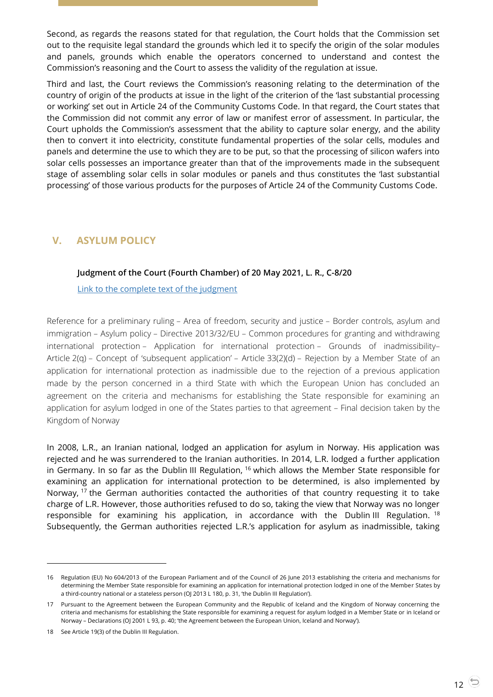Second, as regards the reasons stated for that regulation, the Court holds that the Commission set out to the requisite legal standard the grounds which led it to specify the origin of the solar modules and panels, grounds which enable the operators concerned to understand and contest the Commission's reasoning and the Court to assess the validity of the regulation at issue.

Third and last, the Court reviews the Commission's reasoning relating to the determination of the country of origin of the products at issue in the light of the criterion of the 'last substantial processing or working' set out in Article 24 of the Community Customs Code. In that regard, the Court states that the Commission did not commit any error of law or manifest error of assessment. In particular, the Court upholds the Commission's assessment that the ability to capture solar energy, and the ability then to convert it into electricity, constitute fundamental properties of the solar cells, modules and panels and determine the use to which they are to be put, so that the processing of silicon wafers into solar cells possesses an importance greater than that of the improvements made in the subsequent stage of assembling solar cells in solar modules or panels and thus constitutes the 'last substantial processing' of those various products for the purposes of Article 24 of the Community Customs Code.

# <span id="page-11-1"></span><span id="page-11-0"></span>**V. ASYLUM POLICY**

## **Judgment of the Court (Fourth Chamber) of 20 May 2021, L. R., C-8/20**

[Link to the complete text of the judgment](https://curia.europa.eu/juris/document/document.jsf?text=&docid=241463&pageIndex=0&doclang=en&mode=lst&dir=&occ=first&part=1&cid=13018585)

Reference for a preliminary ruling – Area of freedom, security and justice – Border controls, asylum and immigration – Asylum policy – Directive 2013/32/EU – Common procedures for granting and withdrawing international protection – Application for international protection – Grounds of inadmissibility– Article 2(q) – Concept of 'subsequent application' – Article 33(2)(d) – Rejection by a Member State of an application for international protection as inadmissible due to the rejection of a previous application made by the person concerned in a third State with which the European Union has concluded an agreement on the criteria and mechanisms for establishing the State responsible for examining an application for asylum lodged in one of the States parties to that agreement – Final decision taken by the Kingdom of Norway

In 2008, L.R., an Iranian national, lodged an application for asylum in Norway. His application was rejected and he was surrendered to the Iranian authorities. In 2014, L.R. lodged a further application in Germany. In so far as the Dublin III Regulation, <sup>16</sup> which allows the Member State responsible for examining an application for international protection to be determined, is also implemented by Norway, <sup>17</sup> the German authorities contacted the authorities of that country requesting it to take charge of L.R. However, those authorities refused to do so, taking the view that Norway was no longer responsible for examining his application, in accordance with the Dublin III Regulation.  $18$ Subsequently, the German authorities rejected L.R.'s application for asylum as inadmissible, taking

<sup>16</sup> Regulation (EU) No 604/2013 of the European Parliament and of the Council of 26 June 2013 establishing the criteria and mechanisms for determining the Member State responsible for examining an application for international protection lodged in one of the Member States by a third-country national or a stateless person (OJ 2013 L 180, p. 31, 'the Dublin III Regulation').

<sup>17</sup> Pursuant to the Agreement between the European Community and the Republic of Iceland and the Kingdom of Norway concerning the criteria and mechanisms for establishing the State responsible for examining a request for asylum lodged in a Member State or in Iceland or Norway – Declarations (OJ 2001 L 93, p. 40; 'the Agreement between the European Union, Iceland and Norway').

<sup>18</sup> See Article 19(3) of the Dublin III Regulation.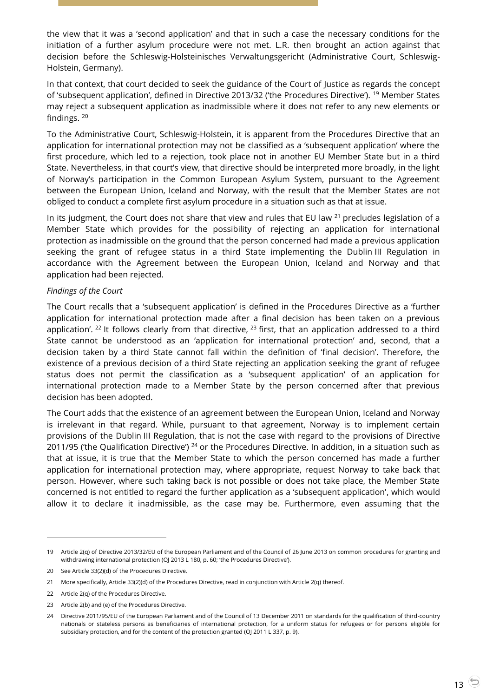the view that it was a 'second application' and that in such a case the necessary conditions for the initiation of a further asylum procedure were not met. L.R. then brought an action against that decision before the Schleswig-Holsteinisches Verwaltungsgericht (Administrative Court, Schleswig-Holstein, Germany).

In that context, that court decided to seek the guidance of the Court of Justice as regards the concept of 'subsequent application', defined in Directive 2013/32 ('the Procedures Directive'). <sup>19</sup> Member States may reject a subsequent application as inadmissible where it does not refer to any new elements or findings. <sup>20</sup>

To the Administrative Court, Schleswig-Holstein, it is apparent from the Procedures Directive that an application for international protection may not be classified as a 'subsequent application' where the first procedure, which led to a rejection, took place not in another EU Member State but in a third State. Nevertheless, in that court's view, that directive should be interpreted more broadly, in the light of Norway's participation in the Common European Asylum System, pursuant to the Agreement between the European Union, Iceland and Norway, with the result that the Member States are not obliged to conduct a complete first asylum procedure in a situation such as that at issue.

In its judgment, the Court does not share that view and rules that EU law  $^{21}$  precludes legislation of a Member State which provides for the possibility of rejecting an application for international protection as inadmissible on the ground that the person concerned had made a previous application seeking the grant of refugee status in a third State implementing the Dublin III Regulation in accordance with the Agreement between the European Union, Iceland and Norway and that application had been rejected.

#### *Findings of the Court*

The Court recalls that a 'subsequent application' is defined in the Procedures Directive as a 'further application for international protection made after a final decision has been taken on a previous application'. <sup>22</sup> It follows clearly from that directive,  $^{23}$  first, that an application addressed to a third State cannot be understood as an 'application for international protection' and, second, that a decision taken by a third State cannot fall within the definition of 'final decision'. Therefore, the existence of a previous decision of a third State rejecting an application seeking the grant of refugee status does not permit the classification as a 'subsequent application' of an application for international protection made to a Member State by the person concerned after that previous decision has been adopted.

The Court adds that the existence of an agreement between the European Union, Iceland and Norway is irrelevant in that regard. While, pursuant to that agreement, Norway is to implement certain provisions of the Dublin III Regulation, that is not the case with regard to the provisions of Directive 2011/95 ('the Qualification Directive')  $24$  or the Procedures Directive. In addition, in a situation such as that at issue, it is true that the Member State to which the person concerned has made a further application for international protection may, where appropriate, request Norway to take back that person. However, where such taking back is not possible or does not take place, the Member State concerned is not entitled to regard the further application as a 'subsequent application', which would allow it to declare it inadmissible, as the case may be. Furthermore, even assuming that the

<sup>19</sup> Article 2(q) of Directive 2013/32/EU of the European Parliament and of the Council of 26 June 2013 on common procedures for granting and withdrawing international protection (OJ 2013 L 180, p. 60; 'the Procedures Directive').

<sup>20</sup> See Article 33(2)(d) of the Procedures Directive.

<sup>21</sup> More specifically, Article 33(2)(d) of the Procedures Directive, read in conjunction with Article 2(q) thereof.

<sup>22</sup> Article 2(q) of the Procedures Directive.

<sup>23</sup> Article 2(b) and (e) of the Procedures Directive.

<sup>24</sup> Directive 2011/95/EU of the European Parliament and of the Council of 13 December 2011 on standards for the qualification of third-country nationals or stateless persons as beneficiaries of international protection, for a uniform status for refugees or for persons eligible for subsidiary protection, and for the content of the protection granted (OJ 2011 L 337, p. 9).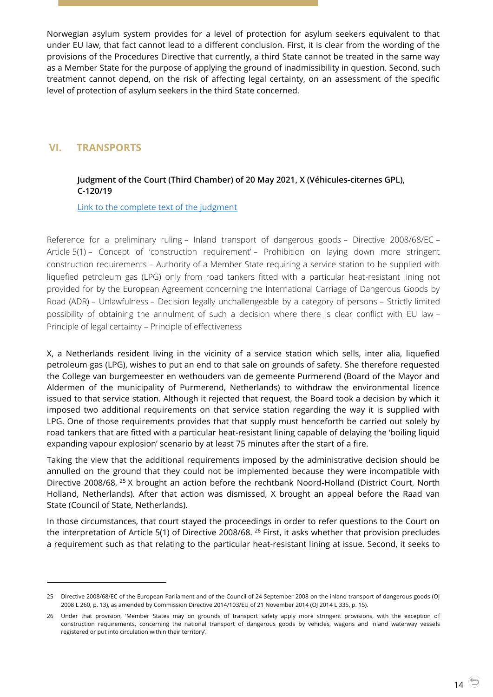Norwegian asylum system provides for a level of protection for asylum seekers equivalent to that under EU law, that fact cannot lead to a different conclusion. First, it is clear from the wording of the provisions of the Procedures Directive that currently, a third State cannot be treated in the same way as a Member State for the purpose of applying the ground of inadmissibility in question. Second, such treatment cannot depend, on the risk of affecting legal certainty, on an assessment of the specific level of protection of asylum seekers in the third State concerned.

# <span id="page-13-1"></span><span id="page-13-0"></span>**VI. TRANSPORTS**

 $\overline{a}$ 

# **Judgment of the Court (Third Chamber) of 20 May 2021, X (Véhicules-citernes GPL), C-120/19**

[Link to the complete text of the judgment](https://curia.europa.eu/juris/document/document.jsf?text=&docid=241464&pageIndex=0&doclang=en&mode=lst&dir=&occ=first&part=1&cid=13029037)

Reference for a preliminary ruling – Inland transport of dangerous goods – Directive 2008/68/EC – Article 5(1) – Concept of 'construction requirement' – Prohibition on laying down more stringent construction requirements – Authority of a Member State requiring a service station to be supplied with liquefied petroleum gas (LPG) only from road tankers fitted with a particular heat-resistant lining not provided for by the European Agreement concerning the International Carriage of Dangerous Goods by Road (ADR) – Unlawfulness – Decision legally unchallengeable by a category of persons – Strictly limited possibility of obtaining the annulment of such a decision where there is clear conflict with EU law – Principle of legal certainty – Principle of effectiveness

X, a Netherlands resident living in the vicinity of a service station which sells, inter alia, liquefied petroleum gas (LPG), wishes to put an end to that sale on grounds of safety. She therefore requested the College van burgemeester en wethouders van de gemeente Purmerend (Board of the Mayor and Aldermen of the municipality of Purmerend, Netherlands) to withdraw the environmental licence issued to that service station. Although it rejected that request, the Board took a decision by which it imposed two additional requirements on that service station regarding the way it is supplied with LPG. One of those requirements provides that that supply must henceforth be carried out solely by road tankers that are fitted with a particular heat-resistant lining capable of delaying the 'boiling liquid expanding vapour explosion' scenario by at least 75 minutes after the start of a fire.

Taking the view that the additional requirements imposed by the administrative decision should be annulled on the ground that they could not be implemented because they were incompatible with Directive 2008/68, <sup>25</sup> X brought an action before the rechtbank Noord-Holland (District Court, North Holland, Netherlands). After that action was dismissed, X brought an appeal before the Raad van State (Council of State, Netherlands).

In those circumstances, that court stayed the proceedings in order to refer questions to the Court on the interpretation of Article 5(1) of Directive 2008/68. <sup>26</sup> First, it asks whether that provision precludes a requirement such as that relating to the particular heat-resistant lining at issue. Second, it seeks to

<sup>25</sup> Directive 2008/68/EC of the European Parliament and of the Council of 24 September 2008 on the inland transport of dangerous goods (OJ 2008 L 260, p. 13), as amended by Commission Directive 2014/103/EU of 21 November 2014 (OJ 2014 L 335, p. 15).

<sup>26</sup> Under that provision, 'Member States may on grounds of transport safety apply more stringent provisions, with the exception of construction requirements, concerning the national transport of dangerous goods by vehicles, wagons and inland waterway vessels registered or put into circulation within their territory'.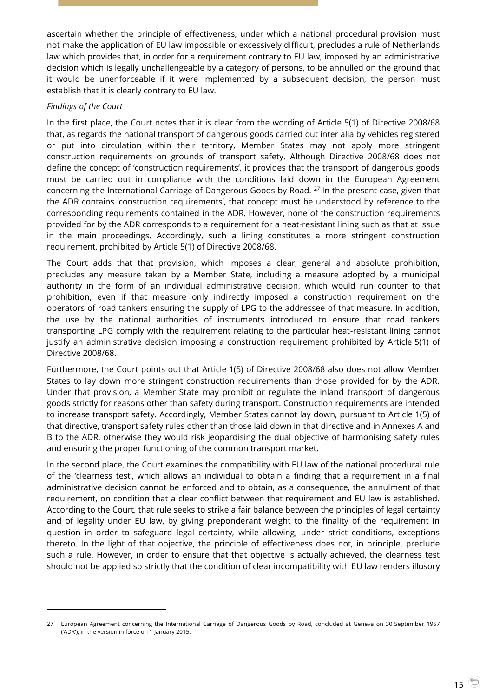ascertain whether the principle of effectiveness, under which a national procedural provision must not make the application of EU law impossible or excessively difficult, precludes a rule of Netherlands law which provides that, in order for a requirement contrary to EU law, imposed by an administrative decision which is legally unchallengeable by a category of persons, to be annulled on the ground that it would be unenforceable if it were implemented by a subsequent decision, the person must establish that it is clearly contrary to EU law.

# *Findings of the Court*

 $\overline{a}$ 

In the first place, the Court notes that it is clear from the wording of Article 5(1) of Directive 2008/68 that, as regards the national transport of dangerous goods carried out inter alia by vehicles registered or put into circulation within their territory, Member States may not apply more stringent construction requirements on grounds of transport safety. Although Directive 2008/68 does not define the concept of 'construction requirements', it provides that the transport of dangerous goods must be carried out in compliance with the conditions laid down in the European Agreement concerning the International Carriage of Dangerous Goods by Road. <sup>27</sup> In the present case, given that the ADR contains 'construction requirements', that concept must be understood by reference to the corresponding requirements contained in the ADR. However, none of the construction requirements provided for by the ADR corresponds to a requirement for a heat-resistant lining such as that at issue in the main proceedings. Accordingly, such a lining constitutes a more stringent construction requirement, prohibited by Article 5(1) of Directive 2008/68.

The Court adds that that provision, which imposes a clear, general and absolute prohibition, precludes any measure taken by a Member State, including a measure adopted by a municipal authority in the form of an individual administrative decision, which would run counter to that prohibition, even if that measure only indirectly imposed a construction requirement on the operators of road tankers ensuring the supply of LPG to the addressee of that measure. In addition, the use by the national authorities of instruments introduced to ensure that road tankers transporting LPG comply with the requirement relating to the particular heat-resistant lining cannot justify an administrative decision imposing a construction requirement prohibited by Article 5(1) of Directive 2008/68.

Furthermore, the Court points out that Article 1(5) of Directive 2008/68 also does not allow Member States to lay down more stringent construction requirements than those provided for by the ADR. Under that provision, a Member State may prohibit or regulate the inland transport of dangerous goods strictly for reasons other than safety during transport. Construction requirements are intended to increase transport safety. Accordingly, Member States cannot lay down, pursuant to Article 1(5) of that directive, transport safety rules other than those laid down in that directive and in Annexes A and B to the ADR, otherwise they would risk jeopardising the dual objective of harmonising safety rules and ensuring the proper functioning of the common transport market.

In the second place, the Court examines the compatibility with EU law of the national procedural rule of the 'clearness test', which allows an individual to obtain a finding that a requirement in a final administrative decision cannot be enforced and to obtain, as a consequence, the annulment of that requirement, on condition that a clear conflict between that requirement and EU law is established. According to the Court, that rule seeks to strike a fair balance between the principles of legal certainty and of legality under EU law, by giving preponderant weight to the finality of the requirement in question in order to safeguard legal certainty, while allowing, under strict conditions, exceptions thereto. In the light of that objective, the principle of effectiveness does not, in principle, preclude such a rule. However, in order to ensure that that objective is actually achieved, the clearness test should not be applied so strictly that the condition of clear incompatibility with EU law renders illusory

<sup>27</sup> European Agreement concerning the International Carriage of Dangerous Goods by Road, concluded at Geneva on 30 September 1957 ('ADR'), in the version in force on 1 January 2015.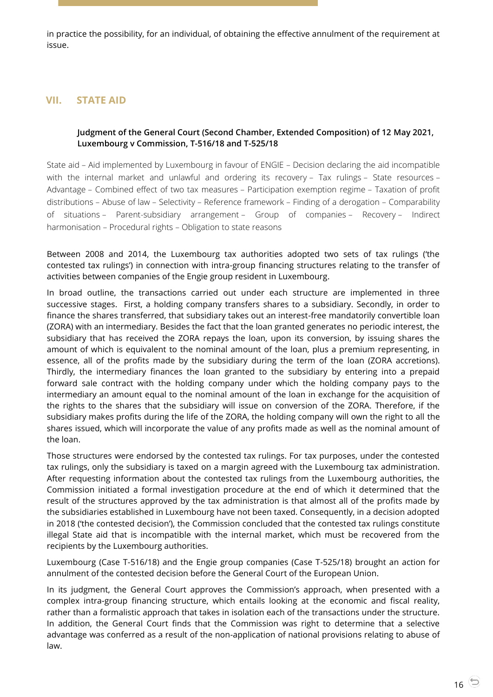in practice the possibility, for an individual, of obtaining the effective annulment of the requirement at issue.

# <span id="page-15-1"></span><span id="page-15-0"></span>**VII. STATE AID**

## **Judgment of the General Court (Second Chamber, Extended Composition) of 12 May 2021, Luxembourg v Commission, T-516/18 and T-525/18**

State aid – Aid implemented by Luxembourg in favour of ENGIE – Decision declaring the aid incompatible with the internal market and unlawful and ordering its recovery – Tax rulings – State resources – Advantage – Combined effect of two tax measures – Participation exemption regime – Taxation of profit distributions – Abuse of law – Selectivity – Reference framework – Finding of a derogation – Comparability of situations – Parent-subsidiary arrangement – Group of companies – Recovery – Indirect harmonisation – Procedural rights – Obligation to state reasons

Between 2008 and 2014, the Luxembourg tax authorities adopted two sets of tax rulings ('the contested tax rulings') in connection with intra-group financing structures relating to the transfer of activities between companies of the Engie group resident in Luxembourg.

In broad outline, the transactions carried out under each structure are implemented in three successive stages. First, a holding company transfers shares to a subsidiary. Secondly, in order to finance the shares transferred, that subsidiary takes out an interest-free mandatorily convertible loan (ZORA) with an intermediary. Besides the fact that the loan granted generates no periodic interest, the subsidiary that has received the ZORA repays the loan, upon its conversion, by issuing shares the amount of which is equivalent to the nominal amount of the loan, plus a premium representing, in essence, all of the profits made by the subsidiary during the term of the loan (ZORA accretions). Thirdly, the intermediary finances the loan granted to the subsidiary by entering into a prepaid forward sale contract with the holding company under which the holding company pays to the intermediary an amount equal to the nominal amount of the loan in exchange for the acquisition of the rights to the shares that the subsidiary will issue on conversion of the ZORA. Therefore, if the subsidiary makes profits during the life of the ZORA, the holding company will own the right to all the shares issued, which will incorporate the value of any profits made as well as the nominal amount of the loan.

Those structures were endorsed by the contested tax rulings. For tax purposes, under the contested tax rulings, only the subsidiary is taxed on a margin agreed with the Luxembourg tax administration. After requesting information about the contested tax rulings from the Luxembourg authorities, the Commission initiated a formal investigation procedure at the end of which it determined that the result of the structures approved by the tax administration is that almost all of the profits made by the subsidiaries established in Luxembourg have not been taxed. Consequently, in a decision adopted in 2018 ('the contested decision'), the Commission concluded that the contested tax rulings constitute illegal State aid that is incompatible with the internal market, which must be recovered from the recipients by the Luxembourg authorities.

Luxembourg (Case T-516/18) and the Engie group companies (Case T-525/18) brought an action for annulment of the contested decision before the General Court of the European Union.

In its judgment, the General Court approves the Commission's approach, when presented with a complex intra-group financing structure, which entails looking at the economic and fiscal reality, rather than a formalistic approach that takes in isolation each of the transactions under the structure. In addition, the General Court finds that the Commission was right to determine that a selective advantage was conferred as a result of the non-application of national provisions relating to abuse of law.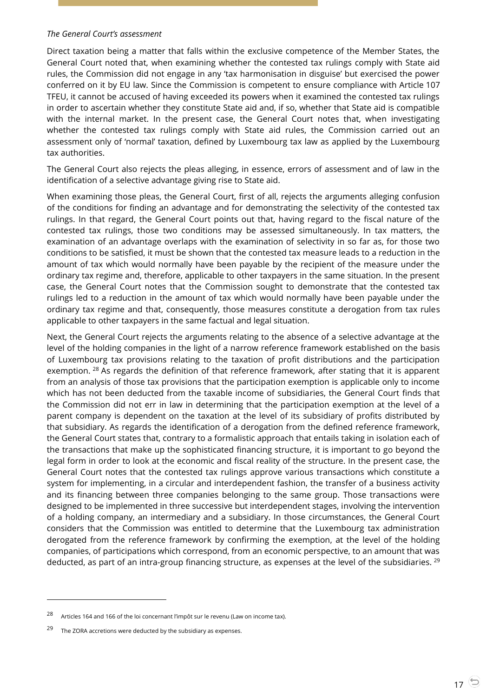#### *The General Court's assessment*

Direct taxation being a matter that falls within the exclusive competence of the Member States, the General Court noted that, when examining whether the contested tax rulings comply with State aid rules, the Commission did not engage in any 'tax harmonisation in disguise' but exercised the power conferred on it by EU law. Since the Commission is competent to ensure compliance with Article 107 TFEU, it cannot be accused of having exceeded its powers when it examined the contested tax rulings in order to ascertain whether they constitute State aid and, if so, whether that State aid is compatible with the internal market. In the present case, the General Court notes that, when investigating whether the contested tax rulings comply with State aid rules, the Commission carried out an assessment only of 'normal' taxation, defined by Luxembourg tax law as applied by the Luxembourg tax authorities.

The General Court also rejects the pleas alleging, in essence, errors of assessment and of law in the identification of a selective advantage giving rise to State aid.

When examining those pleas, the General Court, first of all, rejects the arguments alleging confusion of the conditions for finding an advantage and for demonstrating the selectivity of the contested tax rulings. In that regard, the General Court points out that, having regard to the fiscal nature of the contested tax rulings, those two conditions may be assessed simultaneously. In tax matters, the examination of an advantage overlaps with the examination of selectivity in so far as, for those two conditions to be satisfied, it must be shown that the contested tax measure leads to a reduction in the amount of tax which would normally have been payable by the recipient of the measure under the ordinary tax regime and, therefore, applicable to other taxpayers in the same situation. In the present case, the General Court notes that the Commission sought to demonstrate that the contested tax rulings led to a reduction in the amount of tax which would normally have been payable under the ordinary tax regime and that, consequently, those measures constitute a derogation from tax rules applicable to other taxpayers in the same factual and legal situation.

Next, the General Court rejects the arguments relating to the absence of a selective advantage at the level of the holding companies in the light of a narrow reference framework established on the basis of Luxembourg tax provisions relating to the taxation of profit distributions and the participation exemption. <sup>28</sup> As regards the definition of that reference framework, after stating that it is apparent from an analysis of those tax provisions that the participation exemption is applicable only to income which has not been deducted from the taxable income of subsidiaries, the General Court finds that the Commission did not err in law in determining that the participation exemption at the level of a parent company is dependent on the taxation at the level of its subsidiary of profits distributed by that subsidiary. As regards the identification of a derogation from the defined reference framework, the General Court states that, contrary to a formalistic approach that entails taking in isolation each of the transactions that make up the sophisticated financing structure, it is important to go beyond the legal form in order to look at the economic and fiscal reality of the structure. In the present case, the General Court notes that the contested tax rulings approve various transactions which constitute a system for implementing, in a circular and interdependent fashion, the transfer of a business activity and its financing between three companies belonging to the same group. Those transactions were designed to be implemented in three successive but interdependent stages, involving the intervention of a holding company, an intermediary and a subsidiary. In those circumstances, the General Court considers that the Commission was entitled to determine that the Luxembourg tax administration derogated from the reference framework by confirming the exemption, at the level of the holding companies, of participations which correspond, from an economic perspective, to an amount that was deducted, as part of an intra-group financing structure, as expenses at the level of the subsidiaries.  $^{29}$ 

<sup>28</sup> Articles 164 and 166 of the loi concernant l'impôt sur le revenu (Law on income tax).

 $29$  The ZORA accretions were deducted by the subsidiary as expenses.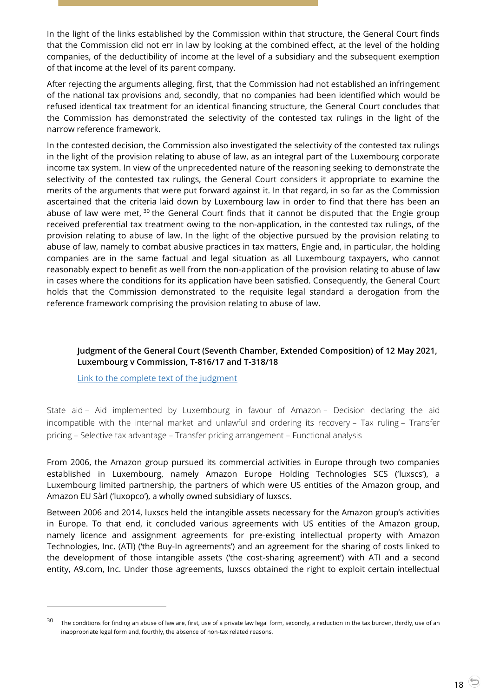In the light of the links established by the Commission within that structure, the General Court finds that the Commission did not err in law by looking at the combined effect, at the level of the holding companies, of the deductibility of income at the level of a subsidiary and the subsequent exemption of that income at the level of its parent company.

After rejecting the arguments alleging, first, that the Commission had not established an infringement of the national tax provisions and, secondly, that no companies had been identified which would be refused identical tax treatment for an identical financing structure, the General Court concludes that the Commission has demonstrated the selectivity of the contested tax rulings in the light of the narrow reference framework.

In the contested decision, the Commission also investigated the selectivity of the contested tax rulings in the light of the provision relating to abuse of law, as an integral part of the Luxembourg corporate income tax system. In view of the unprecedented nature of the reasoning seeking to demonstrate the selectivity of the contested tax rulings, the General Court considers it appropriate to examine the merits of the arguments that were put forward against it. In that regard, in so far as the Commission ascertained that the criteria laid down by Luxembourg law in order to find that there has been an abuse of law were met,  $30$  the General Court finds that it cannot be disputed that the Engie group received preferential tax treatment owing to the non-application, in the contested tax rulings, of the provision relating to abuse of law. In the light of the objective pursued by the provision relating to abuse of law, namely to combat abusive practices in tax matters, Engie and, in particular, the holding companies are in the same factual and legal situation as all Luxembourg taxpayers, who cannot reasonably expect to benefit as well from the non-application of the provision relating to abuse of law in cases where the conditions for its application have been satisfied. Consequently, the General Court holds that the Commission demonstrated to the requisite legal standard a derogation from the reference framework comprising the provision relating to abuse of law.

# <span id="page-17-0"></span>**Judgment of the General Court (Seventh Chamber, Extended Composition) of 12 May 2021, Luxembourg v Commission, T-816/17 and T-318/18**

[Link to the complete text of the judgment](https://curia.europa.eu/juris/document/document.jsf?text=&docid=241188&pageIndex=0&doclang=en&mode=lst&dir=&occ=first&part=1&cid=13032368)

-

State aid – Aid implemented by Luxembourg in favour of Amazon – Decision declaring the aid incompatible with the internal market and unlawful and ordering its recovery – Tax ruling – Transfer pricing – Selective tax advantage – Transfer pricing arrangement – Functional analysis

From 2006, the Amazon group pursued its commercial activities in Europe through two companies established in Luxembourg, namely Amazon Europe Holding Technologies SCS ('luxscs'), a Luxembourg limited partnership, the partners of which were US entities of the Amazon group, and Amazon EU Sàrl ('luxopco'), a wholly owned subsidiary of luxscs.

Between 2006 and 2014, luxscs held the intangible assets necessary for the Amazon group's activities in Europe. To that end, it concluded various agreements with US entities of the Amazon group, namely licence and assignment agreements for pre-existing intellectual property with Amazon Technologies, Inc. (ATI) ('the Buy-In agreements') and an agreement for the sharing of costs linked to the development of those intangible assets ('the cost-sharing agreement') with ATI and a second entity, A9.com, Inc. Under those agreements, luxscs obtained the right to exploit certain intellectual

 $30$  The conditions for finding an abuse of law are, first, use of a private law legal form, secondly, a reduction in the tax burden, thirdly, use of an inappropriate legal form and, fourthly, the absence of non-tax related reasons.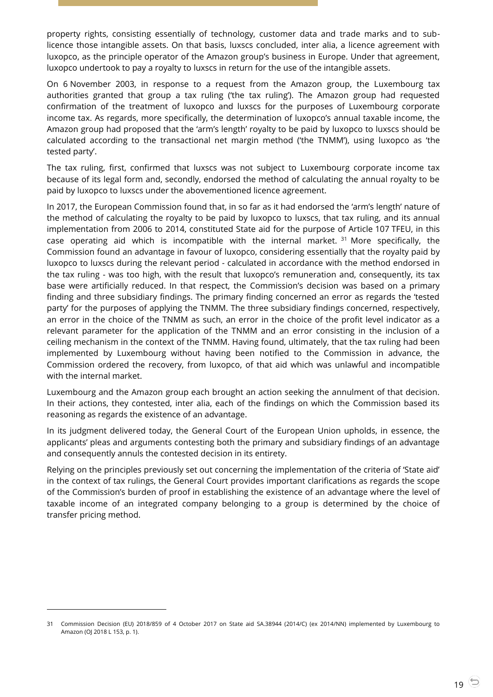property rights, consisting essentially of technology, customer data and trade marks and to sublicence those intangible assets. On that basis, luxscs concluded, inter alia, a licence agreement with luxopco, as the principle operator of the Amazon group's business in Europe. Under that agreement, luxopco undertook to pay a royalty to luxscs in return for the use of the intangible assets.

On 6 November 2003, in response to a request from the Amazon group, the Luxembourg tax authorities granted that group a tax ruling ('the tax ruling'). The Amazon group had requested confirmation of the treatment of luxopco and luxscs for the purposes of Luxembourg corporate income tax. As regards, more specifically, the determination of luxopco's annual taxable income, the Amazon group had proposed that the 'arm's length' royalty to be paid by luxopco to luxscs should be calculated according to the transactional net margin method ('the TNMM'), using luxopco as 'the tested party'.

The tax ruling, first, confirmed that luxscs was not subject to Luxembourg corporate income tax because of its legal form and, secondly, endorsed the method of calculating the annual royalty to be paid by luxopco to luxscs under the abovementioned licence agreement.

In 2017, the European Commission found that, in so far as it had endorsed the 'arm's length' nature of the method of calculating the royalty to be paid by luxopco to luxscs, that tax ruling, and its annual implementation from 2006 to 2014, constituted State aid for the purpose of Article 107 TFEU, in this case operating aid which is incompatible with the internal market.  $31$  More specifically, the Commission found an advantage in favour of luxopco, considering essentially that the royalty paid by luxopco to luxscs during the relevant period - calculated in accordance with the method endorsed in the tax ruling - was too high, with the result that luxopco's remuneration and, consequently, its tax base were artificially reduced. In that respect, the Commission's decision was based on a primary finding and three subsidiary findings. The primary finding concerned an error as regards the 'tested party' for the purposes of applying the TNMM. The three subsidiary findings concerned, respectively, an error in the choice of the TNMM as such, an error in the choice of the profit level indicator as a relevant parameter for the application of the TNMM and an error consisting in the inclusion of a ceiling mechanism in the context of the TNMM. Having found, ultimately, that the tax ruling had been implemented by Luxembourg without having been notified to the Commission in advance, the Commission ordered the recovery, from luxopco, of that aid which was unlawful and incompatible with the internal market.

Luxembourg and the Amazon group each brought an action seeking the annulment of that decision. In their actions, they contested, inter alia, each of the findings on which the Commission based its reasoning as regards the existence of an advantage.

In its judgment delivered today, the General Court of the European Union upholds, in essence, the applicants' pleas and arguments contesting both the primary and subsidiary findings of an advantage and consequently annuls the contested decision in its entirety.

Relying on the principles previously set out concerning the implementation of the criteria of 'State aid' in the context of tax rulings, the General Court provides important clarifications as regards the scope of the Commission's burden of proof in establishing the existence of an advantage where the level of taxable income of an integrated company belonging to a group is determined by the choice of transfer pricing method.

<sup>31</sup> Commission Decision (EU) 2018/859 of 4 October 2017 on State aid SA.38944 (2014/C) (ex 2014/NN) implemented by Luxembourg to Amazon (OJ 2018 L 153, p. 1).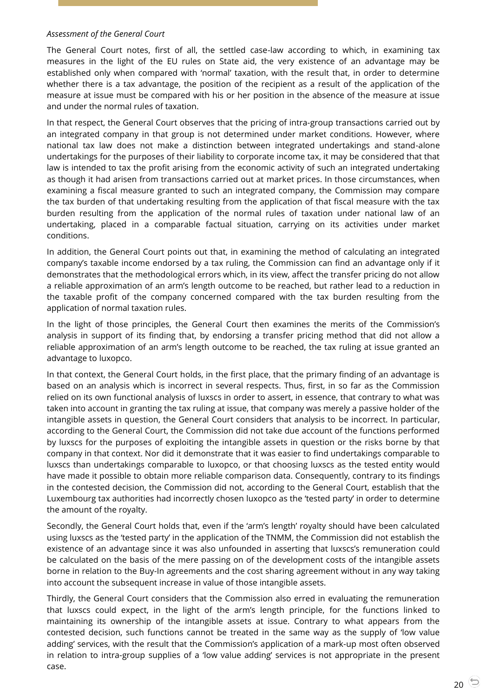#### *Assessment of the General Court*

The General Court notes, first of all, the settled case-law according to which, in examining tax measures in the light of the EU rules on State aid, the very existence of an advantage may be established only when compared with 'normal' taxation, with the result that, in order to determine whether there is a tax advantage, the position of the recipient as a result of the application of the measure at issue must be compared with his or her position in the absence of the measure at issue and under the normal rules of taxation.

In that respect, the General Court observes that the pricing of intra-group transactions carried out by an integrated company in that group is not determined under market conditions. However, where national tax law does not make a distinction between integrated undertakings and stand-alone undertakings for the purposes of their liability to corporate income tax, it may be considered that that law is intended to tax the profit arising from the economic activity of such an integrated undertaking as though it had arisen from transactions carried out at market prices. In those circumstances, when examining a fiscal measure granted to such an integrated company, the Commission may compare the tax burden of that undertaking resulting from the application of that fiscal measure with the tax burden resulting from the application of the normal rules of taxation under national law of an undertaking, placed in a comparable factual situation, carrying on its activities under market conditions.

In addition, the General Court points out that, in examining the method of calculating an integrated company's taxable income endorsed by a tax ruling, the Commission can find an advantage only if it demonstrates that the methodological errors which, in its view, affect the transfer pricing do not allow a reliable approximation of an arm's length outcome to be reached, but rather lead to a reduction in the taxable profit of the company concerned compared with the tax burden resulting from the application of normal taxation rules.

In the light of those principles, the General Court then examines the merits of the Commission's analysis in support of its finding that, by endorsing a transfer pricing method that did not allow a reliable approximation of an arm's length outcome to be reached, the tax ruling at issue granted an advantage to luxopco.

In that context, the General Court holds, in the first place, that the primary finding of an advantage is based on an analysis which is incorrect in several respects. Thus, first, in so far as the Commission relied on its own functional analysis of luxscs in order to assert, in essence, that contrary to what was taken into account in granting the tax ruling at issue, that company was merely a passive holder of the intangible assets in question, the General Court considers that analysis to be incorrect. In particular, according to the General Court, the Commission did not take due account of the functions performed by luxscs for the purposes of exploiting the intangible assets in question or the risks borne by that company in that context. Nor did it demonstrate that it was easier to find undertakings comparable to luxscs than undertakings comparable to luxopco, or that choosing luxscs as the tested entity would have made it possible to obtain more reliable comparison data. Consequently, contrary to its findings in the contested decision, the Commission did not, according to the General Court, establish that the Luxembourg tax authorities had incorrectly chosen luxopco as the 'tested party' in order to determine the amount of the royalty.

Secondly, the General Court holds that, even if the 'arm's length' royalty should have been calculated using luxscs as the 'tested party' in the application of the TNMM, the Commission did not establish the existence of an advantage since it was also unfounded in asserting that luxscs's remuneration could be calculated on the basis of the mere passing on of the development costs of the intangible assets borne in relation to the Buy-In agreements and the cost sharing agreement without in any way taking into account the subsequent increase in value of those intangible assets.

Thirdly, the General Court considers that the Commission also erred in evaluating the remuneration that luxscs could expect, in the light of the arm's length principle, for the functions linked to maintaining its ownership of the intangible assets at issue. Contrary to what appears from the contested decision, such functions cannot be treated in the same way as the supply of 'low value adding' services, with the result that the Commission's application of a mark-up most often observed in relation to intra-group supplies of a 'low value adding' services is not appropriate in the present case.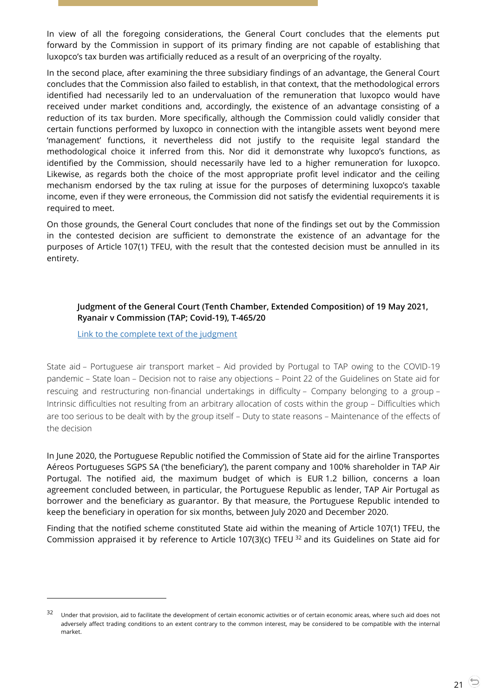In view of all the foregoing considerations, the General Court concludes that the elements put forward by the Commission in support of its primary finding are not capable of establishing that luxopco's tax burden was artificially reduced as a result of an overpricing of the royalty.

In the second place, after examining the three subsidiary findings of an advantage, the General Court concludes that the Commission also failed to establish, in that context, that the methodological errors identified had necessarily led to an undervaluation of the remuneration that luxopco would have received under market conditions and, accordingly, the existence of an advantage consisting of a reduction of its tax burden. More specifically, although the Commission could validly consider that certain functions performed by luxopco in connection with the intangible assets went beyond mere 'management' functions, it nevertheless did not justify to the requisite legal standard the methodological choice it inferred from this. Nor did it demonstrate why luxopco's functions, as identified by the Commission, should necessarily have led to a higher remuneration for luxopco. Likewise, as regards both the choice of the most appropriate profit level indicator and the ceiling mechanism endorsed by the tax ruling at issue for the purposes of determining luxopco's taxable income, even if they were erroneous, the Commission did not satisfy the evidential requirements it is required to meet.

On those grounds, the General Court concludes that none of the findings set out by the Commission in the contested decision are sufficient to demonstrate the existence of an advantage for the purposes of Article 107(1) TFEU, with the result that the contested decision must be annulled in its entirety.

# <span id="page-20-0"></span>**Judgment of the General Court (Tenth Chamber, Extended Composition) of 19 May 2021, Ryanair v Commission (TAP; Covid-19), T-465/20**

[Link to the complete text of the judgment](https://curia.europa.eu/juris/document/document.jsf?text=&docid=241442&pageIndex=0&doclang=en&mode=lst&dir=&occ=first&part=1&cid=13034858)

 $\overline{a}$ 

State aid – Portuguese air transport market – Aid provided by Portugal to TAP owing to the COVID-19 pandemic – State loan – Decision not to raise any objections – Point 22 of the Guidelines on State aid for rescuing and restructuring non-financial undertakings in difficulty – Company belonging to a group – Intrinsic difficulties not resulting from an arbitrary allocation of costs within the group – Difficulties which are too serious to be dealt with by the group itself – Duty to state reasons – Maintenance of the effects of the decision

In June 2020, the Portuguese Republic notified the Commission of State aid for the airline Transportes Aéreos Portugueses SGPS SA ('the beneficiary'), the parent company and 100% shareholder in TAP Air Portugal. The notified aid, the maximum budget of which is EUR 1.2 billion, concerns a loan agreement concluded between, in particular, the Portuguese Republic as lender, TAP Air Portugal as borrower and the beneficiary as guarantor. By that measure, the Portuguese Republic intended to keep the beneficiary in operation for six months, between July 2020 and December 2020.

Finding that the notified scheme constituted State aid within the meaning of Article 107(1) TFEU, the Commission appraised it by reference to Article 107(3)(c) TFEU <sup>32</sup> and its Guidelines on State aid for

Under that provision, aid to facilitate the development of certain economic activities or of certain economic areas, where such aid does not adversely affect trading conditions to an extent contrary to the common interest, may be considered to be compatible with the internal market.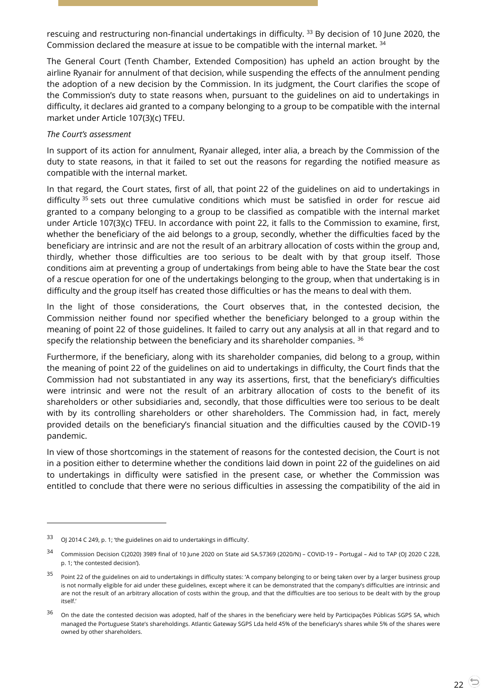rescuing and restructuring non-financial undertakings in difficulty.<sup>33</sup> By decision of 10 June 2020, the Commission declared the measure at issue to be compatible with the internal market.<sup>34</sup>

The General Court (Tenth Chamber, Extended Composition) has upheld an action brought by the airline Ryanair for annulment of that decision, while suspending the effects of the annulment pending the adoption of a new decision by the Commission. In its judgment, the Court clarifies the scope of the Commission's duty to state reasons when, pursuant to the guidelines on aid to undertakings in difficulty, it declares aid granted to a company belonging to a group to be compatible with the internal market under Article 107(3)(c) TFEU.

#### *The Court's assessment*

In support of its action for annulment, Ryanair alleged, inter alia, a breach by the Commission of the duty to state reasons, in that it failed to set out the reasons for regarding the notified measure as compatible with the internal market.

In that regard, the Court states, first of all, that point 22 of the guidelines on aid to undertakings in difficulty<sup>35</sup> sets out three cumulative conditions which must be satisfied in order for rescue aid granted to a company belonging to a group to be classified as compatible with the internal market under Article 107(3)(c) TFEU. In accordance with point 22, it falls to the Commission to examine, first, whether the beneficiary of the aid belongs to a group, secondly, whether the difficulties faced by the beneficiary are intrinsic and are not the result of an arbitrary allocation of costs within the group and, thirdly, whether those difficulties are too serious to be dealt with by that group itself. Those conditions aim at preventing a group of undertakings from being able to have the State bear the cost of a rescue operation for one of the undertakings belonging to the group, when that undertaking is in difficulty and the group itself has created those difficulties or has the means to deal with them.

In the light of those considerations, the Court observes that, in the contested decision, the Commission neither found nor specified whether the beneficiary belonged to a group within the meaning of point 22 of those guidelines. It failed to carry out any analysis at all in that regard and to specify the relationship between the beneficiary and its shareholder companies.  $36$ 

Furthermore, if the beneficiary, along with its shareholder companies, did belong to a group, within the meaning of point 22 of the guidelines on aid to undertakings in difficulty, the Court finds that the Commission had not substantiated in any way its assertions, first, that the beneficiary's difficulties were intrinsic and were not the result of an arbitrary allocation of costs to the benefit of its shareholders or other subsidiaries and, secondly, that those difficulties were too serious to be dealt with by its controlling shareholders or other shareholders. The Commission had, in fact, merely provided details on the beneficiary's financial situation and the difficulties caused by the COVID-19 pandemic.

In view of those shortcomings in the statement of reasons for the contested decision, the Court is not in a position either to determine whether the conditions laid down in point 22 of the guidelines on aid to undertakings in difficulty were satisfied in the present case, or whether the Commission was entitled to conclude that there were no serious difficulties in assessing the compatibility of the aid in

<sup>33</sup> OJ 2014 C 249, p. 1; 'the guidelines on aid to undertakings in difficulty'.

<sup>34</sup> Commission Decision C(2020) 3989 final of 10 June 2020 on State aid SA.57369 (2020/N) – COVID-19 – Portugal – Aid to TAP (OJ 2020 C 228, p. 1; 'the contested decision').

<sup>&</sup>lt;sup>35</sup> Point 22 of the guidelines on aid to undertakings in difficulty states: 'A company belonging to or being taken over by a larger business group is not normally eligible for aid under these guidelines, except where it can be demonstrated that the company's difficulties are intrinsic and are not the result of an arbitrary allocation of costs within the group, and that the difficulties are too serious to be dealt with by the group itself.'

<sup>&</sup>lt;sup>36</sup> On the date the contested decision was adopted, half of the shares in the beneficiary were held by Participações Públicas SGPS SA, which managed the Portuguese State's shareholdings. Atlantic Gateway SGPS Lda held 45% of the beneficiary's shares while 5% of the shares were owned by other shareholders.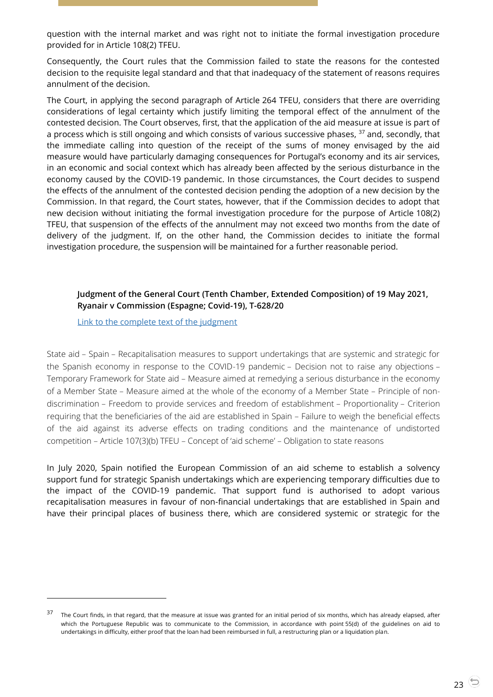question with the internal market and was right not to initiate the formal investigation procedure provided for in Article 108(2) TFEU.

Consequently, the Court rules that the Commission failed to state the reasons for the contested decision to the requisite legal standard and that that inadequacy of the statement of reasons requires annulment of the decision.

The Court, in applying the second paragraph of Article 264 TFEU, considers that there are overriding considerations of legal certainty which justify limiting the temporal effect of the annulment of the contested decision. The Court observes, first, that the application of the aid measure at issue is part of a process which is still ongoing and which consists of various successive phases,  $37$  and, secondly, that the immediate calling into question of the receipt of the sums of money envisaged by the aid measure would have particularly damaging consequences for Portugal's economy and its air services, in an economic and social context which has already been affected by the serious disturbance in the economy caused by the COVID-19 pandemic. In those circumstances, the Court decides to suspend the effects of the annulment of the contested decision pending the adoption of a new decision by the Commission. In that regard, the Court states, however, that if the Commission decides to adopt that new decision without initiating the formal investigation procedure for the purpose of Article 108(2) TFEU, that suspension of the effects of the annulment may not exceed two months from the date of delivery of the judgment. If, on the other hand, the Commission decides to initiate the formal investigation procedure, the suspension will be maintained for a further reasonable period.

# <span id="page-22-0"></span>**Judgment of the General Court (Tenth Chamber, Extended Composition) of 19 May 2021, Ryanair v Commission (Espagne; Covid-19), T-628/20**

[Link to the complete text of the judgment](https://curia.europa.eu/juris/document/document.jsf?text=&docid=241443&pageIndex=0&doclang=en&mode=lst&dir=&occ=first&part=1&cid=13038114)

 $\overline{a}$ 

State aid – Spain – Recapitalisation measures to support undertakings that are systemic and strategic for the Spanish economy in response to the COVID-19 pandemic – Decision not to raise any objections – Temporary Framework for State aid – Measure aimed at remedying a serious disturbance in the economy of a Member State – Measure aimed at the whole of the economy of a Member State – Principle of nondiscrimination – Freedom to provide services and freedom of establishment – Proportionality – Criterion requiring that the beneficiaries of the aid are established in Spain – Failure to weigh the beneficial effects of the aid against its adverse effects on trading conditions and the maintenance of undistorted competition – Article 107(3)(b) TFEU – Concept of 'aid scheme' – Obligation to state reasons

In July 2020, Spain notified the European Commission of an aid scheme to establish a solvency support fund for strategic Spanish undertakings which are experiencing temporary difficulties due to the impact of the COVID-19 pandemic. That support fund is authorised to adopt various recapitalisation measures in favour of non-financial undertakings that are established in Spain and have their principal places of business there, which are considered systemic or strategic for the

<sup>&</sup>lt;sup>37</sup> The Court finds, in that regard, that the measure at issue was granted for an initial period of six months, which has already elapsed, after which the Portuguese Republic was to communicate to the Commission, in accordance with point 55(d) of the guidelines on aid to undertakings in difficulty, either proof that the loan had been reimbursed in full, a restructuring plan or a liquidation plan.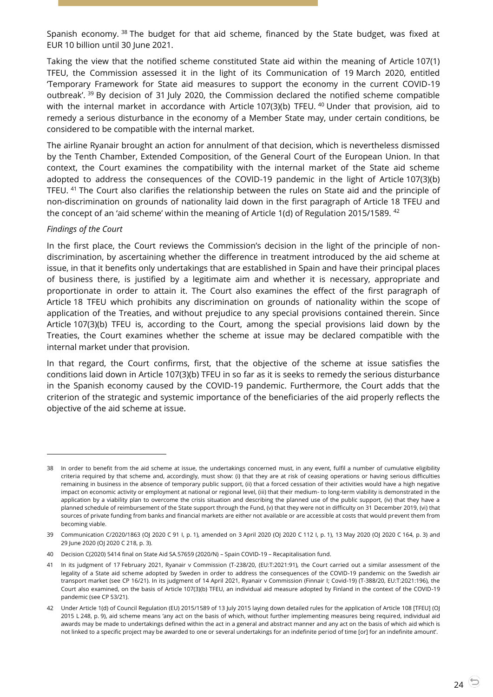Spanish economy.<sup>38</sup> The budget for that aid scheme, financed by the State budget, was fixed at EUR 10 billion until 30 June 2021.

Taking the view that the notified scheme constituted State aid within the meaning of Article 107(1) TFEU, the Commission assessed it in the light of its Communication of 19 March 2020, entitled 'Temporary Framework for State aid measures to support the economy in the current COVID-19 outbreak'. <sup>39</sup> By decision of 31 July 2020, the Commission declared the notified scheme compatible with the internal market in accordance with Article 107(3)(b) TFEU.  $40$  Under that provision, aid to remedy a serious disturbance in the economy of a Member State may, under certain conditions, be considered to be compatible with the internal market.

The airline Ryanair brought an action for annulment of that decision, which is nevertheless dismissed by the Tenth Chamber, Extended Composition, of the General Court of the European Union. In that context, the Court examines the compatibility with the internal market of the State aid scheme adopted to address the consequences of the COVID-19 pandemic in the light of Article 107(3)(b) TFEU. <sup>41</sup> The Court also clarifies the relationship between the rules on State aid and the principle of non-discrimination on grounds of nationality laid down in the first paragraph of Article 18 TFEU and the concept of an 'aid scheme' within the meaning of Article 1(d) of Regulation 2015/1589. <sup>42</sup>

#### *Findings of the Court*

 $\overline{a}$ 

In the first place, the Court reviews the Commission's decision in the light of the principle of nondiscrimination, by ascertaining whether the difference in treatment introduced by the aid scheme at issue, in that it benefits only undertakings that are established in Spain and have their principal places of business there, is justified by a legitimate aim and whether it is necessary, appropriate and proportionate in order to attain it. The Court also examines the effect of the first paragraph of Article 18 TFEU which prohibits any discrimination on grounds of nationality within the scope of application of the Treaties, and without prejudice to any special provisions contained therein. Since Article 107(3)(b) TFEU is, according to the Court, among the special provisions laid down by the Treaties, the Court examines whether the scheme at issue may be declared compatible with the internal market under that provision.

In that regard, the Court confirms, first, that the objective of the scheme at issue satisfies the conditions laid down in Article 107(3)(b) TFEU in so far as it is seeks to remedy the serious disturbance in the Spanish economy caused by the COVID-19 pandemic. Furthermore, the Court adds that the criterion of the strategic and systemic importance of the beneficiaries of the aid properly reflects the objective of the aid scheme at issue.

<sup>38</sup> In order to benefit from the aid scheme at issue, the undertakings concerned must, in any event, fulfil a number of cumulative eligibility criteria required by that scheme and, accordingly, must show: (i) that they are at risk of ceasing operations or having serious difficulties remaining in business in the absence of temporary public support, (ii) that a forced cessation of their activities would have a high negative impact on economic activity or employment at national or regional level, (iii) that their medium- to long-term viability is demonstrated in the application by a viability plan to overcome the crisis situation and describing the planned use of the public support, (iv) that they have a planned schedule of reimbursement of the State support through the Fund, (v) that they were not in difficulty on 31 December 2019, (vi) that sources of private funding from banks and financial markets are either not available or are accessible at costs that would prevent them from becoming viable.

<sup>39</sup> Communication C/2020/1863 (OJ 2020 C 91 I, p. 1), amended on 3 April 2020 (OJ 2020 C 112 I, p. 1), 13 May 2020 (OJ 2020 C 164, p. 3) and 29 June 2020 (OJ 2020 C 218, p. 3).

<sup>40</sup> Decision C(2020) 5414 final on State Aid SA.57659 (2020/N) – Spain COVID-19 – Recapitalisation fund.

<sup>41</sup> In its judgment of 17 February 2021, Ryanair v Commission (T-238/20, (EU:T:2021:91), the Court carried out a similar assessment of the legality of a State aid scheme adopted by Sweden in order to address the consequences of the COVID-19 pandemic on the Swedish air transport market (see CP 16/21). In its judgment of 14 April 2021, Ryanair v Commission (Finnair I; Covid-19) (T-388/20, EU:T:2021:196), the Court also examined, on the basis of Article 107(3)(b) TFEU, an individual aid measure adopted by Finland in the context of the COVID-19 pandemic (see CP 53/21).

<sup>42</sup> Under Article 1(d) of Council Regulation (EU) 2015/1589 of 13 July 2015 laying down detailed rules for the application of Article 108 [TFEU] (OJ 2015 L 248, p. 9), aid scheme means 'any act on the basis of which, without further implementing measures being required, individual aid awards may be made to undertakings defined within the act in a general and abstract manner and any act on the basis of which aid which is not linked to a specific project may be awarded to one or several undertakings for an indefinite period of time [or] for an indefinite amount'.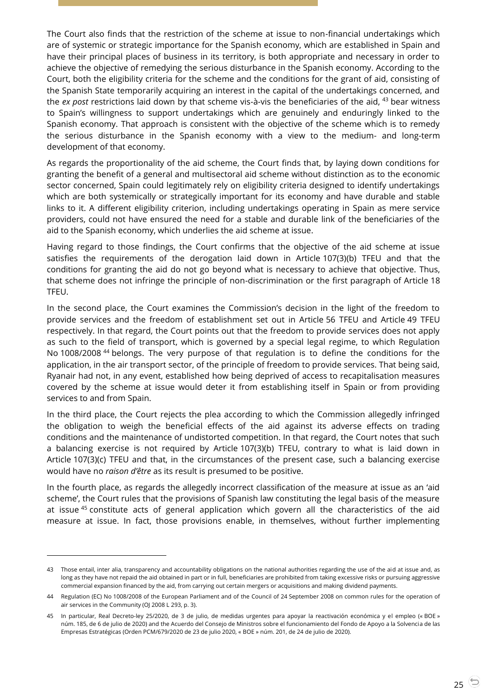The Court also finds that the restriction of the scheme at issue to non-financial undertakings which are of systemic or strategic importance for the Spanish economy, which are established in Spain and have their principal places of business in its territory, is both appropriate and necessary in order to achieve the objective of remedying the serious disturbance in the Spanish economy. According to the Court, both the eligibility criteria for the scheme and the conditions for the grant of aid, consisting of the Spanish State temporarily acquiring an interest in the capital of the undertakings concerned, and the *ex post* restrictions laid down by that scheme vis-à-vis the beneficiaries of the aid, <sup>43</sup> bear witness to Spain's willingness to support undertakings which are genuinely and enduringly linked to the Spanish economy. That approach is consistent with the objective of the scheme which is to remedy the serious disturbance in the Spanish economy with a view to the medium- and long-term development of that economy.

As regards the proportionality of the aid scheme, the Court finds that, by laying down conditions for granting the benefit of a general and multisectoral aid scheme without distinction as to the economic sector concerned, Spain could legitimately rely on eligibility criteria designed to identify undertakings which are both systemically or strategically important for its economy and have durable and stable links to it. A different eligibility criterion, including undertakings operating in Spain as mere service providers, could not have ensured the need for a stable and durable link of the beneficiaries of the aid to the Spanish economy, which underlies the aid scheme at issue.

Having regard to those findings, the Court confirms that the objective of the aid scheme at issue satisfies the requirements of the derogation laid down in Article 107(3)(b) TFEU and that the conditions for granting the aid do not go beyond what is necessary to achieve that objective. Thus, that scheme does not infringe the principle of non-discrimination or the first paragraph of Article 18 TFEU.

In the second place, the Court examines the Commission's decision in the light of the freedom to provide services and the freedom of establishment set out in Article 56 TFEU and Article 49 TFEU respectively. In that regard, the Court points out that the freedom to provide services does not apply as such to the field of transport, which is governed by a special legal regime, to which Regulation No 1008/2008 <sup>44</sup> belongs. The very purpose of that regulation is to define the conditions for the application, in the air transport sector, of the principle of freedom to provide services. That being said, Ryanair had not, in any event, established how being deprived of access to recapitalisation measures covered by the scheme at issue would deter it from establishing itself in Spain or from providing services to and from Spain.

In the third place, the Court rejects the plea according to which the Commission allegedly infringed the obligation to weigh the beneficial effects of the aid against its adverse effects on trading conditions and the maintenance of undistorted competition. In that regard, the Court notes that such a balancing exercise is not required by Article 107(3)(b) TFEU, contrary to what is laid down in Article 107(3)(c) TFEU and that, in the circumstances of the present case, such a balancing exercise would have no *raison d'être* as its result is presumed to be positive.

In the fourth place, as regards the allegedly incorrect classification of the measure at issue as an 'aid scheme', the Court rules that the provisions of Spanish law constituting the legal basis of the measure at issue <sup>45</sup> constitute acts of general application which govern all the characteristics of the aid measure at issue. In fact, those provisions enable, in themselves, without further implementing

-

<sup>43</sup> Those entail, inter alia, transparency and accountability obligations on the national authorities regarding the use of the aid at issue and, as long as they have not repaid the aid obtained in part or in full, beneficiaries are prohibited from taking excessive risks or pursuing aggressive commercial expansion financed by the aid, from carrying out certain mergers or acquisitions and making dividend payments.

<sup>44</sup> Regulation (EC) No 1008/2008 of the European Parliament and of the Council of 24 September 2008 on common rules for the operation of air services in the Community (OJ 2008 L 293, p. 3).

<sup>45</sup> In particular, Real Decreto-ley 25/2020, de 3 de julio, de medidas urgentes para apoyar la reactivación económica y el empleo (« BOE » núm. 185, de 6 de julio de 2020) and the Acuerdo del Consejo de Ministros sobre el funcionamiento del Fondo de Apoyo a la Solvencia de las Empresas Estratégicas (Orden PCM/679/2020 de 23 de julio 2020, « BOE » núm. 201, de 24 de julio de 2020).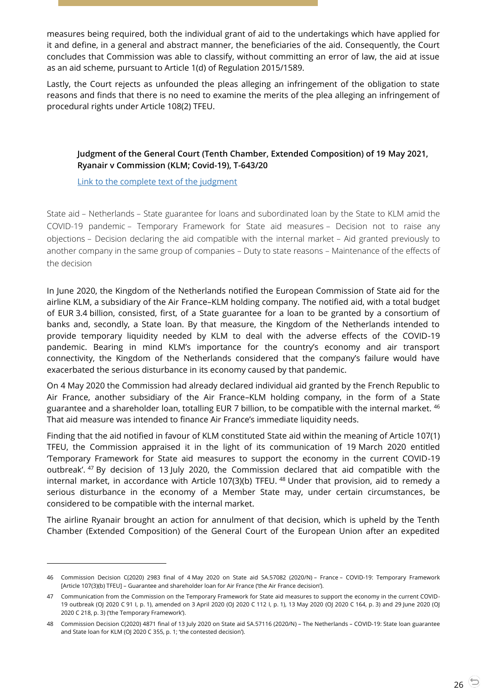measures being required, both the individual grant of aid to the undertakings which have applied for it and define, in a general and abstract manner, the beneficiaries of the aid. Consequently, the Court concludes that Commission was able to classify, without committing an error of law, the aid at issue as an aid scheme, pursuant to Article 1(d) of Regulation 2015/1589.

Lastly, the Court rejects as unfounded the pleas alleging an infringement of the obligation to state reasons and finds that there is no need to examine the merits of the plea alleging an infringement of procedural rights under Article 108(2) TFEU.

# <span id="page-25-0"></span>**Judgment of the General Court (Tenth Chamber, Extended Composition) of 19 May 2021, Ryanair v Commission (KLM; Covid-19), T-643/20**

[Link to the complete text of the judgment](https://curia.europa.eu/juris/document/document.jsf?text=&docid=241444&pageIndex=0&doclang=en&mode=lst&dir=&occ=first&part=1&cid=13043377)

 $\overline{a}$ 

State aid – Netherlands – State guarantee for loans and subordinated loan by the State to KLM amid the COVID-19 pandemic – Temporary Framework for State aid measures – Decision not to raise any objections – Decision declaring the aid compatible with the internal market – Aid granted previously to another company in the same group of companies – Duty to state reasons – Maintenance of the effects of the decision

In June 2020, the Kingdom of the Netherlands notified the European Commission of State aid for the airline KLM, a subsidiary of the Air France–KLM holding company. The notified aid, with a total budget of EUR 3.4 billion, consisted, first, of a State guarantee for a loan to be granted by a consortium of banks and, secondly, a State loan. By that measure, the Kingdom of the Netherlands intended to provide temporary liquidity needed by KLM to deal with the adverse effects of the COVID-19 pandemic. Bearing in mind KLM's importance for the country's economy and air transport connectivity, the Kingdom of the Netherlands considered that the company's failure would have exacerbated the serious disturbance in its economy caused by that pandemic.

On 4 May 2020 the Commission had already declared individual aid granted by the French Republic to Air France, another subsidiary of the Air France–KLM holding company, in the form of a State guarantee and a shareholder loan, totalling EUR 7 billion, to be compatible with the internal market. 46 That aid measure was intended to finance Air France's immediate liquidity needs.

Finding that the aid notified in favour of KLM constituted State aid within the meaning of Article 107(1) TFEU, the Commission appraised it in the light of its communication of 19 March 2020 entitled 'Temporary Framework for State aid measures to support the economy in the current COVID-19 outbreak'. <sup>47</sup> By decision of 13 July 2020, the Commission declared that aid compatible with the internal market, in accordance with Article 107(3)(b) TFEU. <sup>48</sup> Under that provision, aid to remedy a serious disturbance in the economy of a Member State may, under certain circumstances, be considered to be compatible with the internal market.

The airline Ryanair brought an action for annulment of that decision, which is upheld by the Tenth Chamber (Extended Composition) of the General Court of the European Union after an expedited

<sup>46</sup> Commission Decision C(2020) 2983 final of 4 May 2020 on State aid SA.57082 (2020/N) – France – COVID-19: Temporary Framework [Article 107(3)(b) TFEU] – Guarantee and shareholder loan for Air France ('the Air France decision').

<sup>47</sup> Communication from the Commission on the Temporary Framework for State aid measures to support the economy in the current COVID-19 outbreak (OJ 2020 C 91 I, p. 1), amended on 3 April 2020 (OJ 2020 C 112 I, p. 1), 13 May 2020 (OJ 2020 C 164, p. 3) and 29 June 2020 (OJ 2020 C 218, p. 3) ('the Temporary Framework').

<sup>48</sup> Commission Decision C(2020) 4871 final of 13 July 2020 on State aid SA.57116 (2020/N) – The Netherlands – COVID-19: State loan guarantee and State loan for KLM (OJ 2020 C 355, p. 1; 'the contested decision').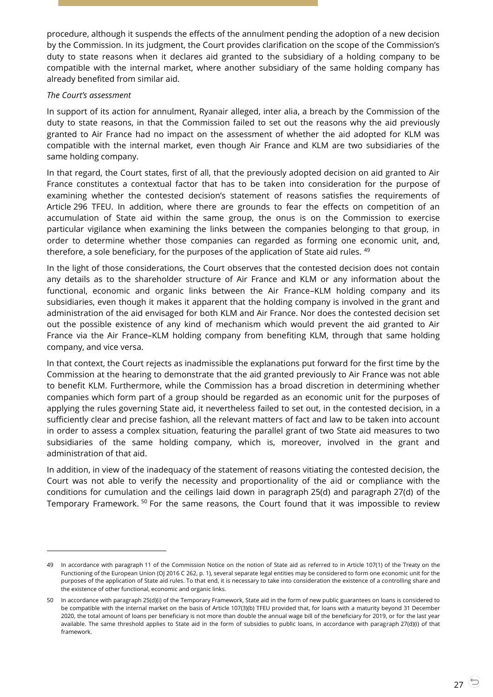procedure, although it suspends the effects of the annulment pending the adoption of a new decision by the Commission. In its judgment, the Court provides clarification on the scope of the Commission's duty to state reasons when it declares aid granted to the subsidiary of a holding company to be compatible with the internal market, where another subsidiary of the same holding company has already benefited from similar aid.

#### *The Court's assessment*

-

In support of its action for annulment, Ryanair alleged, inter alia, a breach by the Commission of the duty to state reasons, in that the Commission failed to set out the reasons why the aid previously granted to Air France had no impact on the assessment of whether the aid adopted for KLM was compatible with the internal market, even though Air France and KLM are two subsidiaries of the same holding company.

In that regard, the Court states, first of all, that the previously adopted decision on aid granted to Air France constitutes a contextual factor that has to be taken into consideration for the purpose of examining whether the contested decision's statement of reasons satisfies the requirements of Article 296 TFEU. In addition, where there are grounds to fear the effects on competition of an accumulation of State aid within the same group, the onus is on the Commission to exercise particular vigilance when examining the links between the companies belonging to that group, in order to determine whether those companies can regarded as forming one economic unit, and, therefore, a sole beneficiary, for the purposes of the application of State aid rules. <sup>49</sup>

In the light of those considerations, the Court observes that the contested decision does not contain any details as to the shareholder structure of Air France and KLM or any information about the functional, economic and organic links between the Air France–KLM holding company and its subsidiaries, even though it makes it apparent that the holding company is involved in the grant and administration of the aid envisaged for both KLM and Air France. Nor does the contested decision set out the possible existence of any kind of mechanism which would prevent the aid granted to Air France via the Air France–KLM holding company from benefiting KLM, through that same holding company, and vice versa.

In that context, the Court rejects as inadmissible the explanations put forward for the first time by the Commission at the hearing to demonstrate that the aid granted previously to Air France was not able to benefit KLM. Furthermore, while the Commission has a broad discretion in determining whether companies which form part of a group should be regarded as an economic unit for the purposes of applying the rules governing State aid, it nevertheless failed to set out, in the contested decision, in a sufficiently clear and precise fashion, all the relevant matters of fact and law to be taken into account in order to assess a complex situation, featuring the parallel grant of two State aid measures to two subsidiaries of the same holding company, which is, moreover, involved in the grant and administration of that aid.

In addition, in view of the inadequacy of the statement of reasons vitiating the contested decision, the Court was not able to verify the necessity and proportionality of the aid or compliance with the conditions for cumulation and the ceilings laid down in paragraph 25(d) and paragraph 27(d) of the Temporary Framework.<sup>50</sup> For the same reasons, the Court found that it was impossible to review

<sup>49</sup> In accordance with paragraph 11 of the Commission Notice on the notion of State aid as referred to in Article 107(1) of the Treaty on the Functioning of the European Union (OJ 2016 C 262, p. 1), several separate legal entities may be considered to form one economic unit for the purposes of the application of State aid rules. To that end, it is necessary to take into consideration the existence of a controlling share and the existence of other functional, economic and organic links.

<sup>50</sup> In accordance with paragraph 25(d)(i) of the Temporary Framework, State aid in the form of new public guarantees on loans is considered to be compatible with the internal market on the basis of Article 107(3)(b) TFEU provided that, for loans with a maturity beyond 31 December 2020, the total amount of loans per beneficiary is not more than double the annual wage bill of the beneficiary for 2019, or for the last year available. The same threshold applies to State aid in the form of subsidies to public loans, in accordance with paragraph 27(d)(i) of that framework.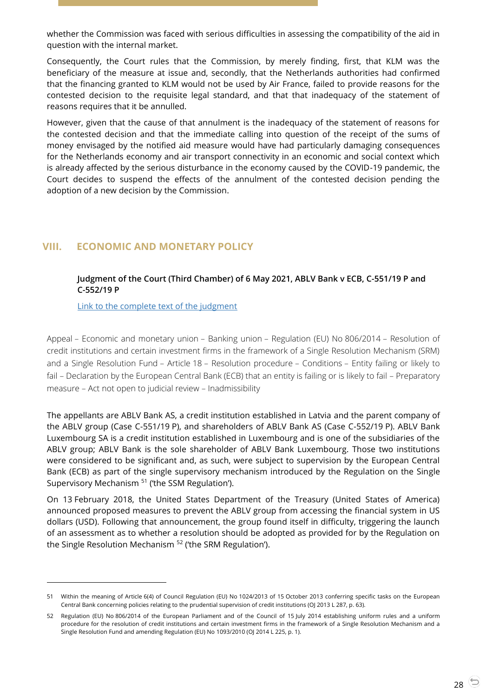whether the Commission was faced with serious difficulties in assessing the compatibility of the aid in question with the internal market.

Consequently, the Court rules that the Commission, by merely finding, first, that KLM was the beneficiary of the measure at issue and, secondly, that the Netherlands authorities had confirmed that the financing granted to KLM would not be used by Air France, failed to provide reasons for the contested decision to the requisite legal standard, and that that inadequacy of the statement of reasons requires that it be annulled.

However, given that the cause of that annulment is the inadequacy of the statement of reasons for the contested decision and that the immediate calling into question of the receipt of the sums of money envisaged by the notified aid measure would have had particularly damaging consequences for the Netherlands economy and air transport connectivity in an economic and social context which is already affected by the serious disturbance in the economy caused by the COVID-19 pandemic, the Court decides to suspend the effects of the annulment of the contested decision pending the adoption of a new decision by the Commission.

# <span id="page-27-1"></span><span id="page-27-0"></span>**VIII. ECONOMIC AND MONETARY POLICY**

# **Judgment of the Court (Third Chamber) of 6 May 2021, ABLV Bank v ECB, C-551/19 P and C-552/19 P**

[Link to the complete text of the judgment](https://curia.europa.eu/juris/document/document.jsf?text=&docid=240843&pageIndex=0&doclang=en&mode=lst&dir=&occ=first&part=1&cid=13046436)

 $\overline{a}$ 

Appeal – Economic and monetary union – Banking union – Regulation (EU) No 806/2014 – Resolution of credit institutions and certain investment firms in the framework of a Single Resolution Mechanism (SRM) and a Single Resolution Fund – Article 18 – Resolution procedure – Conditions – Entity failing or likely to fail – Declaration by the European Central Bank (ECB) that an entity is failing or is likely to fail – Preparatory measure – Act not open to judicial review – Inadmissibility

The appellants are ABLV Bank AS, a credit institution established in Latvia and the parent company of the ABLV group (Case C-551/19 P), and shareholders of ABLV Bank AS (Case C-552/19 P). ABLV Bank Luxembourg SA is a credit institution established in Luxembourg and is one of the subsidiaries of the ABLV group; ABLV Bank is the sole shareholder of ABLV Bank Luxembourg. Those two institutions were considered to be significant and, as such, were subject to supervision by the European Central Bank (ECB) as part of the single supervisory mechanism introduced by the Regulation on the Single Supervisory Mechanism <sup>51</sup> ('the SSM Regulation').

On 13 February 2018, the United States Department of the Treasury (United States of America) announced proposed measures to prevent the ABLV group from accessing the financial system in US dollars (USD). Following that announcement, the group found itself in difficulty, triggering the launch of an assessment as to whether a resolution should be adopted as provided for by the Regulation on the Single Resolution Mechanism <sup>52</sup> ('the SRM Regulation').

<sup>51</sup> Within the meaning of Article 6(4) of Council Regulation (EU) No 1024/2013 of 15 October 2013 conferring specific tasks on the European Central Bank concerning policies relating to the prudential supervision of credit institutions (OJ 2013 L 287, p. 63).

<sup>52</sup> Regulation (EU) No 806/2014 of the European Parliament and of the Council of 15 July 2014 establishing uniform rules and a uniform procedure for the resolution of credit institutions and certain investment firms in the framework of a Single Resolution Mechanism and a Single Resolution Fund and amending Regulation (EU) No 1093/2010 (OJ 2014 L 225, p. 1).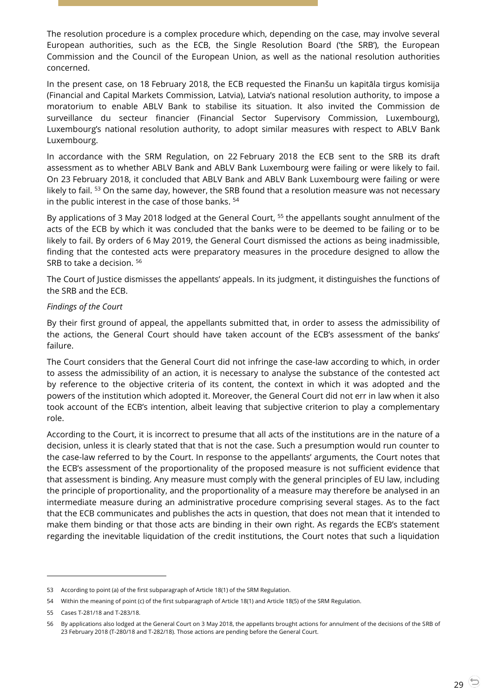The resolution procedure is a complex procedure which, depending on the case, may involve several European authorities, such as the ECB, the Single Resolution Board ('the SRB'), the European Commission and the Council of the European Union, as well as the national resolution authorities concerned.

In the present case, on 18 February 2018, the ECB requested the Finanšu un kapitāla tirgus komisija (Financial and Capital Markets Commission, Latvia), Latvia's national resolution authority, to impose a moratorium to enable ABLV Bank to stabilise its situation. It also invited the Commission de surveillance du secteur financier (Financial Sector Supervisory Commission, Luxembourg), Luxembourg's national resolution authority, to adopt similar measures with respect to ABLV Bank Luxembourg.

In accordance with the SRM Regulation, on 22 February 2018 the ECB sent to the SRB its draft assessment as to whether ABLV Bank and ABLV Bank Luxembourg were failing or were likely to fail. On 23 February 2018, it concluded that ABLV Bank and ABLV Bank Luxembourg were failing or were likely to fail. <sup>53</sup> On the same day, however, the SRB found that a resolution measure was not necessary in the public interest in the case of those banks. <sup>54</sup>

By applications of 3 May 2018 lodged at the General Court, <sup>55</sup> the appellants sought annulment of the acts of the ECB by which it was concluded that the banks were to be deemed to be failing or to be likely to fail. By orders of 6 May 2019, the General Court dismissed the actions as being inadmissible, finding that the contested acts were preparatory measures in the procedure designed to allow the SRB to take a decision. <sup>56</sup>

The Court of Justice dismisses the appellants' appeals. In its judgment, it distinguishes the functions of the SRB and the ECB.

#### *Findings of the Court*

By their first ground of appeal, the appellants submitted that, in order to assess the admissibility of the actions, the General Court should have taken account of the ECB's assessment of the banks' failure.

The Court considers that the General Court did not infringe the case-law according to which, in order to assess the admissibility of an action, it is necessary to analyse the substance of the contested act by reference to the objective criteria of its content, the context in which it was adopted and the powers of the institution which adopted it. Moreover, the General Court did not err in law when it also took account of the ECB's intention, albeit leaving that subjective criterion to play a complementary role.

According to the Court, it is incorrect to presume that all acts of the institutions are in the nature of a decision, unless it is clearly stated that that is not the case. Such a presumption would run counter to the case-law referred to by the Court. In response to the appellants' arguments, the Court notes that the ECB's assessment of the proportionality of the proposed measure is not sufficient evidence that that assessment is binding. Any measure must comply with the general principles of EU law, including the principle of proportionality, and the proportionality of a measure may therefore be analysed in an intermediate measure during an administrative procedure comprising several stages. As to the fact that the ECB communicates and publishes the acts in question, that does not mean that it intended to make them binding or that those acts are binding in their own right. As regards the ECB's statement regarding the inevitable liquidation of the credit institutions, the Court notes that such a liquidation

<sup>53</sup> According to point (a) of the first subparagraph of Article 18(1) of the SRM Regulation.

<sup>54</sup> Within the meaning of point (c) of the first subparagraph of Article 18(1) and Article 18(5) of the SRM Regulation.

<sup>55</sup> Cases T-281/18 and T-283/18.

<sup>56</sup> By applications also lodged at the General Court on 3 May 2018, the appellants brought actions for annulment of the decisions of the SRB of 23 February 2018 (T-280/18 and T-282/18). Those actions are pending before the General Court.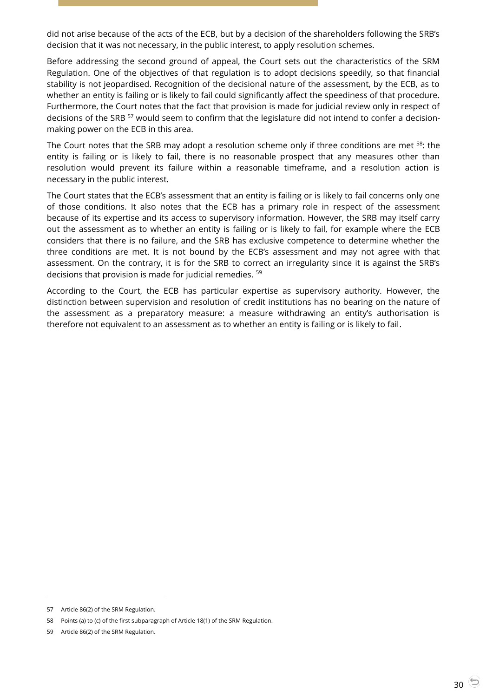did not arise because of the acts of the ECB, but by a decision of the shareholders following the SRB's decision that it was not necessary, in the public interest, to apply resolution schemes.

Before addressing the second ground of appeal, the Court sets out the characteristics of the SRM Regulation. One of the objectives of that regulation is to adopt decisions speedily, so that financial stability is not jeopardised. Recognition of the decisional nature of the assessment, by the ECB, as to whether an entity is failing or is likely to fail could significantly affect the speediness of that procedure. Furthermore, the Court notes that the fact that provision is made for judicial review only in respect of decisions of the SRB<sup>57</sup> would seem to confirm that the legislature did not intend to confer a decisionmaking power on the ECB in this area.

The Court notes that the SRB may adopt a resolution scheme only if three conditions are met <sup>58</sup>: the entity is failing or is likely to fail, there is no reasonable prospect that any measures other than resolution would prevent its failure within a reasonable timeframe, and a resolution action is necessary in the public interest.

The Court states that the ECB's assessment that an entity is failing or is likely to fail concerns only one of those conditions. It also notes that the ECB has a primary role in respect of the assessment because of its expertise and its access to supervisory information. However, the SRB may itself carry out the assessment as to whether an entity is failing or is likely to fail, for example where the ECB considers that there is no failure, and the SRB has exclusive competence to determine whether the three conditions are met. It is not bound by the ECB's assessment and may not agree with that assessment. On the contrary, it is for the SRB to correct an irregularity since it is against the SRB's decisions that provision is made for judicial remedies. <sup>59</sup>

According to the Court, the ECB has particular expertise as supervisory authority. However, the distinction between supervision and resolution of credit institutions has no bearing on the nature of the assessment as a preparatory measure: a measure withdrawing an entity's authorisation is therefore not equivalent to an assessment as to whether an entity is failing or is likely to fail.

-

<sup>57</sup> Article 86(2) of the SRM Regulation.

<sup>58</sup> Points (a) to (c) of the first subparagraph of Article 18(1) of the SRM Regulation.

<sup>59</sup> Article 86(2) of the SRM Regulation.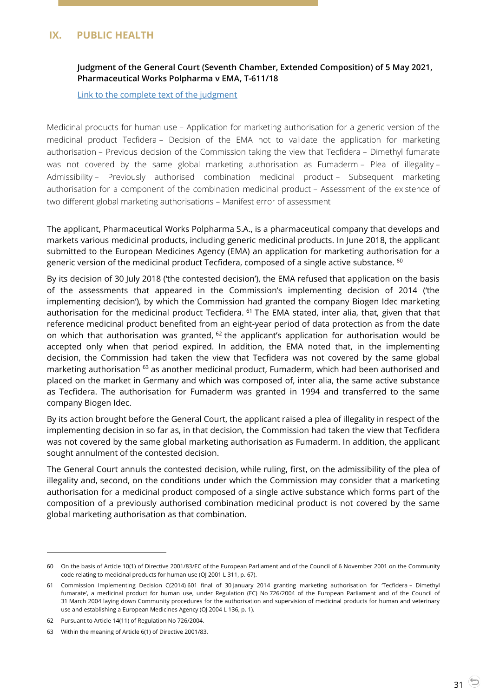# <span id="page-30-1"></span><span id="page-30-0"></span>**IX. PUBLIC HEALTH**

# **Judgment of the General Court (Seventh Chamber, Extended Composition) of 5 May 2021, Pharmaceutical Works Polpharma v EMA, T-611/18**

[Link to the complete text of the judgment](https://curia.europa.eu/juris/document/document.jsf?docid=240822&mode=lst&pageIndex=1&dir=&occ=first&part=1&text=&doclang=EN&cid=13063550)

Medicinal products for human use – Application for marketing authorisation for a generic version of the medicinal product Tecfidera – Decision of the EMA not to validate the application for marketing authorisation – Previous decision of the Commission taking the view that Tecfidera – Dimethyl fumarate was not covered by the same global marketing authorisation as Fumaderm – Plea of illegality – Admissibility – Previously authorised combination medicinal product – Subsequent marketing authorisation for a component of the combination medicinal product – Assessment of the existence of two different global marketing authorisations – Manifest error of assessment

The applicant, Pharmaceutical Works Polpharma S.A., is a pharmaceutical company that develops and markets various medicinal products, including generic medicinal products. In June 2018, the applicant submitted to the European Medicines Agency (EMA) an application for marketing authorisation for a generic version of the medicinal product Tecfidera, composed of a single active substance. <sup>60</sup>

By its decision of 30 July 2018 ('the contested decision'), the EMA refused that application on the basis of the assessments that appeared in the Commission's implementing decision of 2014 ('the implementing decision'), by which the Commission had granted the company Biogen Idec marketing authorisation for the medicinal product Tecfidera. <sup>61</sup> The EMA stated, inter alia, that, given that that reference medicinal product benefited from an eight-year period of data protection as from the date on which that authorisation was granted,  $62$  the applicant's application for authorisation would be accepted only when that period expired. In addition, the EMA noted that, in the implementing decision, the Commission had taken the view that Tecfidera was not covered by the same global marketing authorisation <sup>63</sup> as another medicinal product, Fumaderm, which had been authorised and placed on the market in Germany and which was composed of, inter alia, the same active substance as Tecfidera. The authorisation for Fumaderm was granted in 1994 and transferred to the same company Biogen Idec.

By its action brought before the General Court, the applicant raised a plea of illegality in respect of the implementing decision in so far as, in that decision, the Commission had taken the view that Tecfidera was not covered by the same global marketing authorisation as Fumaderm. In addition, the applicant sought annulment of the contested decision.

The General Court annuls the contested decision, while ruling, first, on the admissibility of the plea of illegality and, second, on the conditions under which the Commission may consider that a marketing authorisation for a medicinal product composed of a single active substance which forms part of the composition of a previously authorised combination medicinal product is not covered by the same global marketing authorisation as that combination.

<sup>60</sup> On the basis of Article 10(1) of Directive 2001/83/EC of the European Parliament and of the Council of 6 November 2001 on the Community code relating to medicinal products for human use (OJ 2001 L 311, p. 67).

<sup>61</sup> Commission Implementing Decision C(2014) 601 final of 30 January 2014 granting marketing authorisation for 'Tecfidera – Dimethyl fumarate', a medicinal product for human use, under Regulation (EC) No 726/2004 of the European Parliament and of the Council of 31 March 2004 laying down Community procedures for the authorisation and supervision of medicinal products for human and veterinary use and establishing a European Medicines Agency (OJ 2004 L 136, p. 1).

<sup>62</sup> Pursuant to Article 14(11) of Regulation No 726/2004.

<sup>63</sup> Within the meaning of Article 6(1) of Directive 2001/83.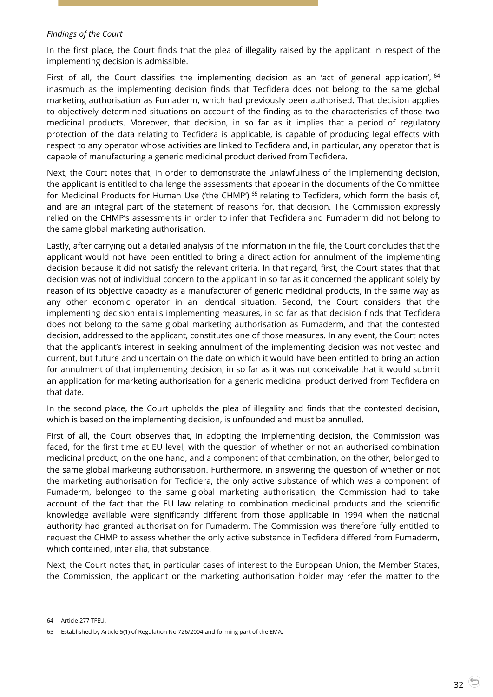#### *Findings of the Court*

In the first place, the Court finds that the plea of illegality raised by the applicant in respect of the implementing decision is admissible.

First of all, the Court classifies the implementing decision as an 'act of general application', <sup>64</sup> inasmuch as the implementing decision finds that Tecfidera does not belong to the same global marketing authorisation as Fumaderm, which had previously been authorised. That decision applies to objectively determined situations on account of the finding as to the characteristics of those two medicinal products. Moreover, that decision, in so far as it implies that a period of regulatory protection of the data relating to Tecfidera is applicable, is capable of producing legal effects with respect to any operator whose activities are linked to Tecfidera and, in particular, any operator that is capable of manufacturing a generic medicinal product derived from Tecfidera.

Next, the Court notes that, in order to demonstrate the unlawfulness of the implementing decision, the applicant is entitled to challenge the assessments that appear in the documents of the Committee for Medicinal Products for Human Use ('the CHMP')<sup>65</sup> relating to Tecfidera, which form the basis of, and are an integral part of the statement of reasons for, that decision. The Commission expressly relied on the CHMP's assessments in order to infer that Tecfidera and Fumaderm did not belong to the same global marketing authorisation.

Lastly, after carrying out a detailed analysis of the information in the file, the Court concludes that the applicant would not have been entitled to bring a direct action for annulment of the implementing decision because it did not satisfy the relevant criteria. In that regard, first, the Court states that that decision was not of individual concern to the applicant in so far as it concerned the applicant solely by reason of its objective capacity as a manufacturer of generic medicinal products, in the same way as any other economic operator in an identical situation. Second, the Court considers that the implementing decision entails implementing measures, in so far as that decision finds that Tecfidera does not belong to the same global marketing authorisation as Fumaderm, and that the contested decision, addressed to the applicant, constitutes one of those measures. In any event, the Court notes that the applicant's interest in seeking annulment of the implementing decision was not vested and current, but future and uncertain on the date on which it would have been entitled to bring an action for annulment of that implementing decision, in so far as it was not conceivable that it would submit an application for marketing authorisation for a generic medicinal product derived from Tecfidera on that date.

In the second place, the Court upholds the plea of illegality and finds that the contested decision, which is based on the implementing decision, is unfounded and must be annulled.

First of all, the Court observes that, in adopting the implementing decision, the Commission was faced, for the first time at EU level, with the question of whether or not an authorised combination medicinal product, on the one hand, and a component of that combination, on the other, belonged to the same global marketing authorisation. Furthermore, in answering the question of whether or not the marketing authorisation for Tecfidera, the only active substance of which was a component of Fumaderm, belonged to the same global marketing authorisation, the Commission had to take account of the fact that the EU law relating to combination medicinal products and the scientific knowledge available were significantly different from those applicable in 1994 when the national authority had granted authorisation for Fumaderm. The Commission was therefore fully entitled to request the CHMP to assess whether the only active substance in Tecfidera differed from Fumaderm, which contained, inter alia, that substance.

Next, the Court notes that, in particular cases of interest to the European Union, the Member States, the Commission, the applicant or the marketing authorisation holder may refer the matter to the

<sup>64</sup> Article 277 TFEU.

<sup>65</sup> Established by Article 5(1) of Regulation No 726/2004 and forming part of the EMA.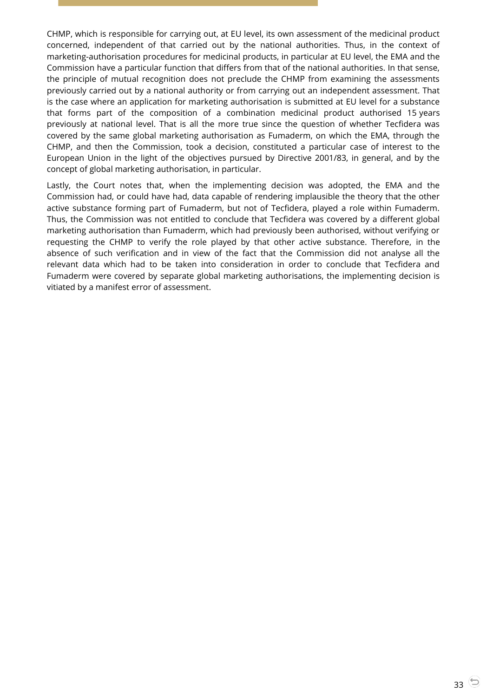CHMP, which is responsible for carrying out, at EU level, its own assessment of the medicinal product concerned, independent of that carried out by the national authorities. Thus, in the context of marketing-authorisation procedures for medicinal products, in particular at EU level, the EMA and the Commission have a particular function that differs from that of the national authorities. In that sense, the principle of mutual recognition does not preclude the CHMP from examining the assessments previously carried out by a national authority or from carrying out an independent assessment. That is the case where an application for marketing authorisation is submitted at EU level for a substance that forms part of the composition of a combination medicinal product authorised 15 years previously at national level. That is all the more true since the question of whether Tecfidera was covered by the same global marketing authorisation as Fumaderm, on which the EMA, through the CHMP, and then the Commission, took a decision, constituted a particular case of interest to the European Union in the light of the objectives pursued by Directive 2001/83, in general, and by the concept of global marketing authorisation, in particular.

Lastly, the Court notes that, when the implementing decision was adopted, the EMA and the Commission had, or could have had, data capable of rendering implausible the theory that the other active substance forming part of Fumaderm, but not of Tecfidera, played a role within Fumaderm. Thus, the Commission was not entitled to conclude that Tecfidera was covered by a different global marketing authorisation than Fumaderm, which had previously been authorised, without verifying or requesting the CHMP to verify the role played by that other active substance. Therefore, in the absence of such verification and in view of the fact that the Commission did not analyse all the relevant data which had to be taken into consideration in order to conclude that Tecfidera and Fumaderm were covered by separate global marketing authorisations, the implementing decision is vitiated by a manifest error of assessment.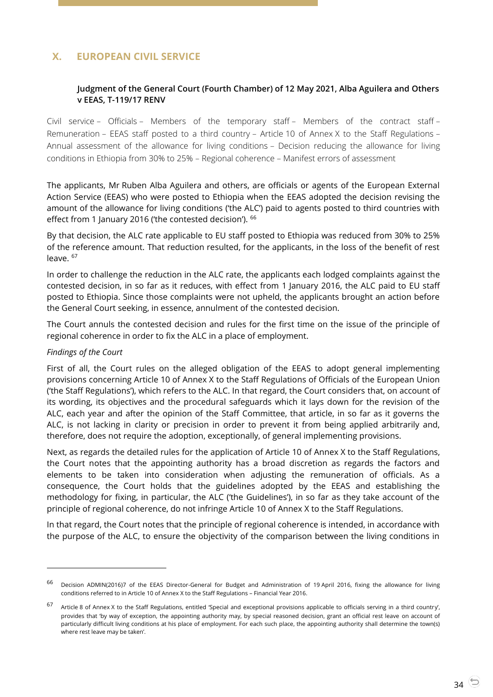# <span id="page-33-1"></span><span id="page-33-0"></span>**X. EUROPEAN CIVIL SERVICE**

# **Judgment of the General Court (Fourth Chamber) of 12 May 2021, Alba Aguilera and Others v EEAS, T-119/17 RENV**

Civil service – Officials – Members of the temporary staff – Members of the contract staff – Remuneration – EEAS staff posted to a third country – Article 10 of Annex X to the Staff Regulations – Annual assessment of the allowance for living conditions – Decision reducing the allowance for living conditions in Ethiopia from 30% to 25% – Regional coherence – Manifest errors of assessment

The applicants, Mr Ruben Alba Aguilera and others, are officials or agents of the European External Action Service (EEAS) who were posted to Ethiopia when the EEAS adopted the decision revising the amount of the allowance for living conditions ('the ALC') paid to agents posted to third countries with effect from 1 January 2016 ('the contested decision'). <sup>66</sup>

By that decision, the ALC rate applicable to EU staff posted to Ethiopia was reduced from 30% to 25% of the reference amount. That reduction resulted, for the applicants, in the loss of the benefit of rest leave. <sup>67</sup>

In order to challenge the reduction in the ALC rate, the applicants each lodged complaints against the contested decision, in so far as it reduces, with effect from 1 January 2016, the ALC paid to EU staff posted to Ethiopia. Since those complaints were not upheld, the applicants brought an action before the General Court seeking, in essence, annulment of the contested decision.

The Court annuls the contested decision and rules for the first time on the issue of the principle of regional coherence in order to fix the ALC in a place of employment.

#### *Findings of the Court*

 $\overline{a}$ 

First of all, the Court rules on the alleged obligation of the EEAS to adopt general implementing provisions concerning Article 10 of Annex X to the Staff Regulations of Officials of the European Union ('the Staff Regulations'), which refers to the ALC. In that regard, the Court considers that, on account of its wording, its objectives and the procedural safeguards which it lays down for the revision of the ALC, each year and after the opinion of the Staff Committee, that article, in so far as it governs the ALC, is not lacking in clarity or precision in order to prevent it from being applied arbitrarily and, therefore, does not require the adoption, exceptionally, of general implementing provisions.

Next, as regards the detailed rules for the application of Article 10 of Annex X to the Staff Regulations, the Court notes that the appointing authority has a broad discretion as regards the factors and elements to be taken into consideration when adjusting the remuneration of officials. As a consequence, the Court holds that the guidelines adopted by the EEAS and establishing the methodology for fixing, in particular, the ALC ('the Guidelines'), in so far as they take account of the principle of regional coherence, do not infringe Article 10 of Annex X to the Staff Regulations.

In that regard, the Court notes that the principle of regional coherence is intended, in accordance with the purpose of the ALC, to ensure the objectivity of the comparison between the living conditions in

<sup>66</sup> Decision ADMIN(2016)7 of the EEAS Director-General for Budget and Administration of 19 April 2016, fixing the allowance for living conditions referred to in Article 10 of Annex X to the Staff Regulations – Financial Year 2016.

<sup>67</sup> Article 8 of Annex X to the Staff Regulations, entitled 'Special and exceptional provisions applicable to officials serving in a third country', provides that 'by way of exception, the appointing authority may, by special reasoned decision, grant an official rest leave on account of particularly difficult living conditions at his place of employment. For each such place, the appointing authority shall determine the town(s) where rest leave may be taken'.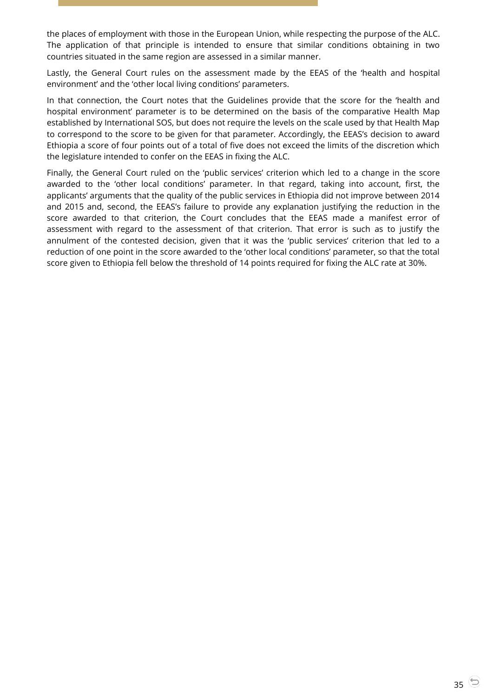the places of employment with those in the European Union, while respecting the purpose of the ALC. The application of that principle is intended to ensure that similar conditions obtaining in two countries situated in the same region are assessed in a similar manner.

Lastly, the General Court rules on the assessment made by the EEAS of the 'health and hospital environment' and the 'other local living conditions' parameters.

In that connection, the Court notes that the Guidelines provide that the score for the 'health and hospital environment' parameter is to be determined on the basis of the comparative Health Map established by International SOS, but does not require the levels on the scale used by that Health Map to correspond to the score to be given for that parameter. Accordingly, the EEAS's decision to award Ethiopia a score of four points out of a total of five does not exceed the limits of the discretion which the legislature intended to confer on the EEAS in fixing the ALC.

Finally, the General Court ruled on the 'public services' criterion which led to a change in the score awarded to the 'other local conditions' parameter. In that regard, taking into account, first, the applicants' arguments that the quality of the public services in Ethiopia did not improve between 2014 and 2015 and, second, the EEAS's failure to provide any explanation justifying the reduction in the score awarded to that criterion, the Court concludes that the EEAS made a manifest error of assessment with regard to the assessment of that criterion. That error is such as to justify the annulment of the contested decision, given that it was the 'public services' criterion that led to a reduction of one point in the score awarded to the 'other local conditions' parameter, so that the total score given to Ethiopia fell below the threshold of 14 points required for fixing the ALC rate at 30%.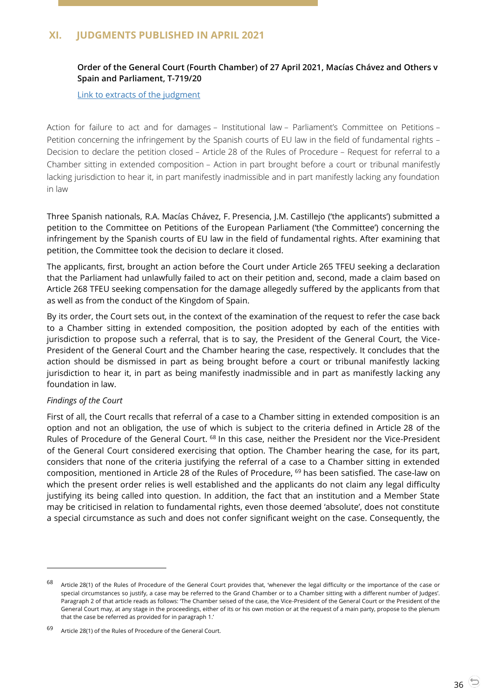# <span id="page-35-1"></span><span id="page-35-0"></span>**XI. JUDGMENTS PUBLISHED IN APRIL 2021**

# **Order of the General Court (Fourth Chamber) of 27 April 2021, Macías Chávez and Others v Spain and Parliament, T-719/20**

#### [Link to extracts of](https://curia.europa.eu/juris/document/document.jsf?text=&docid=240607&pageIndex=0&doclang=EN&mode=lst&dir=&occ=first&part=1&cid=1398453) the judgment

Action for failure to act and for damages – Institutional law – Parliament's Committee on Petitions – Petition concerning the infringement by the Spanish courts of EU law in the field of fundamental rights – Decision to declare the petition closed – Article 28 of the Rules of Procedure – Request for referral to a Chamber sitting in extended composition – Action in part brought before a court or tribunal manifestly lacking jurisdiction to hear it, in part manifestly inadmissible and in part manifestly lacking any foundation in law

Three Spanish nationals, R.A. Macías Chávez, F. Presencia, J.M. Castillejo ('the applicants') submitted a petition to the Committee on Petitions of the European Parliament ('the Committee') concerning the infringement by the Spanish courts of EU law in the field of fundamental rights. After examining that petition, the Committee took the decision to declare it closed.

The applicants, first, brought an action before the Court under Article 265 TFEU seeking a declaration that the Parliament had unlawfully failed to act on their petition and, second, made a claim based on Article 268 TFEU seeking compensation for the damage allegedly suffered by the applicants from that as well as from the conduct of the Kingdom of Spain.

By its order, the Court sets out, in the context of the examination of the request to refer the case back to a Chamber sitting in extended composition, the position adopted by each of the entities with jurisdiction to propose such a referral, that is to say, the President of the General Court, the Vice-President of the General Court and the Chamber hearing the case, respectively. It concludes that the action should be dismissed in part as being brought before a court or tribunal manifestly lacking jurisdiction to hear it, in part as being manifestly inadmissible and in part as manifestly lacking any foundation in law.

#### *Findings of the Court*

 $\overline{a}$ 

First of all, the Court recalls that referral of a case to a Chamber sitting in extended composition is an option and not an obligation, the use of which is subject to the criteria defined in Article 28 of the Rules of Procedure of the General Court. <sup>68</sup> In this case, neither the President nor the Vice-President of the General Court considered exercising that option. The Chamber hearing the case, for its part, considers that none of the criteria justifying the referral of a case to a Chamber sitting in extended composition, mentioned in Article 28 of the Rules of Procedure, <sup>69</sup> has been satisfied. The case-law on which the present order relies is well established and the applicants do not claim any legal difficulty justifying its being called into question. In addition, the fact that an institution and a Member State may be criticised in relation to fundamental rights, even those deemed 'absolute', does not constitute a special circumstance as such and does not confer significant weight on the case. Consequently, the

<sup>68</sup> Article 28(1) of the Rules of Procedure of the General Court provides that, 'whenever the legal difficulty or the importance of the case or special circumstances so justify, a case may be referred to the Grand Chamber or to a Chamber sitting with a different number of Judges'. Paragraph 2 of that article reads as follows: 'The Chamber seised of the case, the Vice-President of the General Court or the President of the General Court may, at any stage in the proceedings, either of its or his own motion or at the request of a main party, propose to the plenum that the case be referred as provided for in paragraph 1.'

<sup>69</sup> Article 28(1) of the Rules of Procedure of the General Court.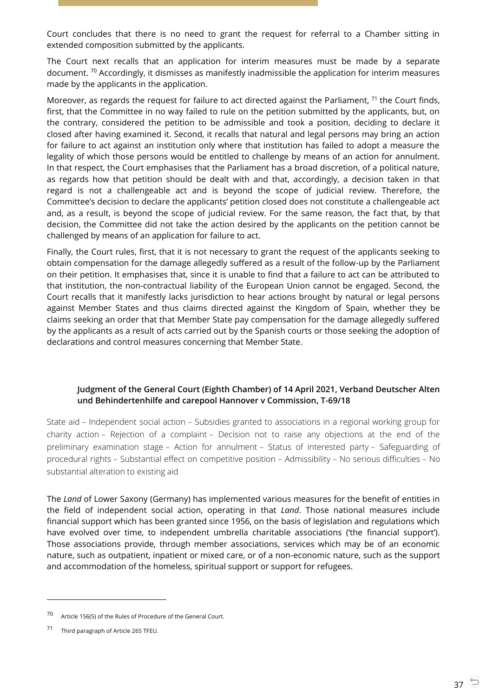Court concludes that there is no need to grant the request for referral to a Chamber sitting in extended composition submitted by the applicants.

The Court next recalls that an application for interim measures must be made by a separate document. <sup>70</sup> Accordingly, it dismisses as manifestly inadmissible the application for interim measures made by the applicants in the application.

Moreover, as regards the request for failure to act directed against the Parliament,  $71$  the Court finds, first, that the Committee in no way failed to rule on the petition submitted by the applicants, but, on the contrary, considered the petition to be admissible and took a position, deciding to declare it closed after having examined it. Second, it recalls that natural and legal persons may bring an action for failure to act against an institution only where that institution has failed to adopt a measure the legality of which those persons would be entitled to challenge by means of an action for annulment. In that respect, the Court emphasises that the Parliament has a broad discretion, of a political nature, as regards how that petition should be dealt with and that, accordingly, a decision taken in that regard is not a challengeable act and is beyond the scope of judicial review. Therefore, the Committee's decision to declare the applicants' petition closed does not constitute a challengeable act and, as a result, is beyond the scope of judicial review. For the same reason, the fact that, by that decision, the Committee did not take the action desired by the applicants on the petition cannot be challenged by means of an application for failure to act.

Finally, the Court rules, first, that it is not necessary to grant the request of the applicants seeking to obtain compensation for the damage allegedly suffered as a result of the follow-up by the Parliament on their petition. It emphasises that, since it is unable to find that a failure to act can be attributed to that institution, the non-contractual liability of the European Union cannot be engaged. Second, the Court recalls that it manifestly lacks jurisdiction to hear actions brought by natural or legal persons against Member States and thus claims directed against the Kingdom of Spain, whether they be claims seeking an order that that Member State pay compensation for the damage allegedly suffered by the applicants as a result of acts carried out by the Spanish courts or those seeking the adoption of declarations and control measures concerning that Member State.

# <span id="page-36-0"></span>**Judgment of the General Court (Eighth Chamber) of 14 April 2021, Verband Deutscher Alten und Behindertenhilfe and carepool Hannover v Commission, T-69/18**

State aid – Independent social action – Subsidies granted to associations in a regional working group for charity action – Rejection of a complaint – Decision not to raise any objections at the end of the preliminary examination stage – Action for annulment – Status of interested party – Safeguarding of procedural rights – Substantial effect on competitive position – Admissibility – No serious difficulties – No substantial alteration to existing aid

The *Land* of Lower Saxony (Germany) has implemented various measures for the benefit of entities in the field of independent social action, operating in that *Land*. Those national measures include financial support which has been granted since 1956, on the basis of legislation and regulations which have evolved over time, to independent umbrella charitable associations ('the financial support'). Those associations provide, through member associations, services which may be of an economic nature, such as outpatient, inpatient or mixed care, or of a non-economic nature, such as the support and accommodation of the homeless, spiritual support or support for refugees.

<sup>70</sup> Article 156(5) of the Rules of Procedure of the General Court.

<sup>71</sup> Third paragraph of Article 265 TFEU.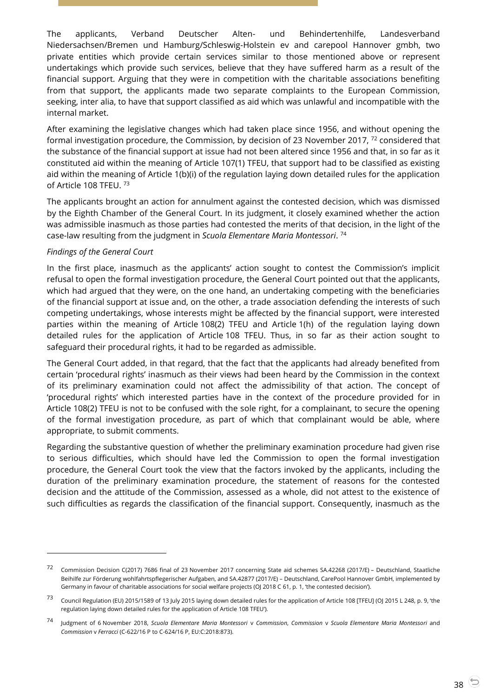The applicants, Verband Deutscher Alten- und Behindertenhilfe, Landesverband Niedersachsen/Bremen und Hamburg/Schleswig-Holstein ev and carepool Hannover gmbh, two private entities which provide certain services similar to those mentioned above or represent undertakings which provide such services, believe that they have suffered harm as a result of the financial support. Arguing that they were in competition with the charitable associations benefiting from that support, the applicants made two separate complaints to the European Commission, seeking, inter alia, to have that support classified as aid which was unlawful and incompatible with the internal market.

After examining the legislative changes which had taken place since 1956, and without opening the formal investigation procedure, the Commission, by decision of 23 November 2017, <sup>72</sup> considered that the substance of the financial support at issue had not been altered since 1956 and that, in so far as it constituted aid within the meaning of Article 107(1) TFEU, that support had to be classified as existing aid within the meaning of Article 1(b)(i) of the regulation laying down detailed rules for the application of Article 108 TFEU. <sup>73</sup>

The applicants brought an action for annulment against the contested decision, which was dismissed by the Eighth Chamber of the General Court. In its judgment, it closely examined whether the action was admissible inasmuch as those parties had contested the merits of that decision, in the light of the case-law resulting from the judgment in *Scuola Elementare Maria Montessori*. 74

#### *Findings of the General Court*

 $\overline{a}$ 

In the first place, inasmuch as the applicants' action sought to contest the Commission's implicit refusal to open the formal investigation procedure, the General Court pointed out that the applicants, which had argued that they were, on the one hand, an undertaking competing with the beneficiaries of the financial support at issue and, on the other, a trade association defending the interests of such competing undertakings, whose interests might be affected by the financial support, were interested parties within the meaning of Article 108(2) TFEU and Article 1(h) of the regulation laying down detailed rules for the application of Article 108 TFEU. Thus, in so far as their action sought to safeguard their procedural rights, it had to be regarded as admissible.

The General Court added, in that regard, that the fact that the applicants had already benefited from certain 'procedural rights' inasmuch as their views had been heard by the Commission in the context of its preliminary examination could not affect the admissibility of that action. The concept of 'procedural rights' which interested parties have in the context of the procedure provided for in Article 108(2) TFEU is not to be confused with the sole right, for a complainant, to secure the opening of the formal investigation procedure, as part of which that complainant would be able, where appropriate, to submit comments.

Regarding the substantive question of whether the preliminary examination procedure had given rise to serious difficulties, which should have led the Commission to open the formal investigation procedure, the General Court took the view that the factors invoked by the applicants, including the duration of the preliminary examination procedure, the statement of reasons for the contested decision and the attitude of the Commission, assessed as a whole, did not attest to the existence of such difficulties as regards the classification of the financial support. Consequently, inasmuch as the

<sup>72</sup> Commission Decision C(2017) 7686 final of 23 November 2017 concerning State aid schemes SA.42268 (2017/E) – Deutschland, Staatliche Beihilfe zur Förderung wohlfahrtspflegerischer Aufgaben, and SA.42877 (2017/E) – Deutschland, CarePool Hannover GmbH, implemented by Germany in favour of charitable associations for social welfare projects (OJ 2018 C 61, p. 1, 'the contested decision').

<sup>73</sup> Council Regulation (EU) 2015/1589 of 13 July 2015 laying down detailed rules for the application of Article 108 [TFEU] (OJ 2015 L 248, p. 9, 'the regulation laying down detailed rules for the application of Article 108 TFEU').

<sup>74</sup> Judgment of 6 November 2018, *Scuola Elementare Maria Montessori* <sup>v</sup>*Commission*, *Commission* <sup>v</sup>*Scuola Elementare Maria Montessori* and *Commission* v *Ferracci* (C-622/16 P to C-624/16 P, EU:C:2018:873).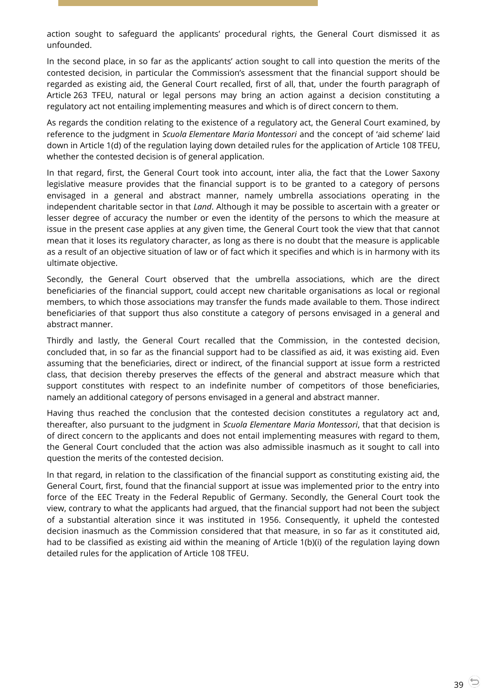action sought to safeguard the applicants' procedural rights, the General Court dismissed it as unfounded.

In the second place, in so far as the applicants' action sought to call into question the merits of the contested decision, in particular the Commission's assessment that the financial support should be regarded as existing aid, the General Court recalled, first of all, that, under the fourth paragraph of Article 263 TFEU, natural or legal persons may bring an action against a decision constituting a regulatory act not entailing implementing measures and which is of direct concern to them.

As regards the condition relating to the existence of a regulatory act, the General Court examined, by reference to the judgment in *Scuola Elementare Maria Montessori* and the concept of 'aid scheme' laid down in Article 1(d) of the regulation laying down detailed rules for the application of Article 108 TFEU, whether the contested decision is of general application.

In that regard, first, the General Court took into account, inter alia, the fact that the Lower Saxony legislative measure provides that the financial support is to be granted to a category of persons envisaged in a general and abstract manner, namely umbrella associations operating in the independent charitable sector in that *Land*. Although it may be possible to ascertain with a greater or lesser degree of accuracy the number or even the identity of the persons to which the measure at issue in the present case applies at any given time, the General Court took the view that that cannot mean that it loses its regulatory character, as long as there is no doubt that the measure is applicable as a result of an objective situation of law or of fact which it specifies and which is in harmony with its ultimate objective.

Secondly, the General Court observed that the umbrella associations, which are the direct beneficiaries of the financial support, could accept new charitable organisations as local or regional members, to which those associations may transfer the funds made available to them. Those indirect beneficiaries of that support thus also constitute a category of persons envisaged in a general and abstract manner.

Thirdly and lastly, the General Court recalled that the Commission, in the contested decision, concluded that, in so far as the financial support had to be classified as aid, it was existing aid. Even assuming that the beneficiaries, direct or indirect, of the financial support at issue form a restricted class, that decision thereby preserves the effects of the general and abstract measure which that support constitutes with respect to an indefinite number of competitors of those beneficiaries, namely an additional category of persons envisaged in a general and abstract manner.

Having thus reached the conclusion that the contested decision constitutes a regulatory act and, thereafter, also pursuant to the judgment in *Scuola Elementare Maria Montessori*, that that decision is of direct concern to the applicants and does not entail implementing measures with regard to them, the General Court concluded that the action was also admissible inasmuch as it sought to call into question the merits of the contested decision.

In that regard, in relation to the classification of the financial support as constituting existing aid, the General Court, first, found that the financial support at issue was implemented prior to the entry into force of the EEC Treaty in the Federal Republic of Germany. Secondly, the General Court took the view, contrary to what the applicants had argued, that the financial support had not been the subject of a substantial alteration since it was instituted in 1956. Consequently, it upheld the contested decision inasmuch as the Commission considered that that measure, in so far as it constituted aid, had to be classified as existing aid within the meaning of Article 1(b)(i) of the regulation laying down detailed rules for the application of Article 108 TFEU.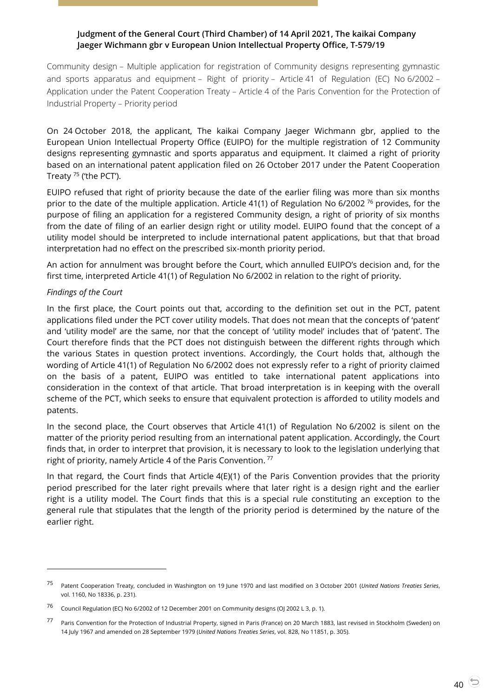# <span id="page-39-0"></span>**Judgment of the General Court (Third Chamber) of 14 April 2021, The kaikai Company Jaeger Wichmann gbr v European Union Intellectual Property Office, T-579/19**

Community design – Multiple application for registration of Community designs representing gymnastic and sports apparatus and equipment – Right of priority – Article 41 of Regulation (EC) No 6/2002 – Application under the Patent Cooperation Treaty – Article 4 of the Paris Convention for the Protection of Industrial Property – Priority period

On 24 October 2018, the applicant, The kaikai Company Jaeger Wichmann gbr, applied to the European Union Intellectual Property Office (EUIPO) for the multiple registration of 12 Community designs representing gymnastic and sports apparatus and equipment. It claimed a right of priority based on an international patent application filed on 26 October 2017 under the Patent Cooperation Treaty <sup>75</sup> ('the PCT').

EUIPO refused that right of priority because the date of the earlier filing was more than six months prior to the date of the multiple application. Article 41(1) of Regulation No 6/2002<sup>76</sup> provides, for the purpose of filing an application for a registered Community design, a right of priority of six months from the date of filing of an earlier design right or utility model. EUIPO found that the concept of a utility model should be interpreted to include international patent applications, but that that broad interpretation had no effect on the prescribed six-month priority period.

An action for annulment was brought before the Court, which annulled EUIPO's decision and, for the first time, interpreted Article 41(1) of Regulation No 6/2002 in relation to the right of priority.

## *Findings of the Court*

 $\overline{a}$ 

In the first place, the Court points out that, according to the definition set out in the PCT, patent applications filed under the PCT cover utility models. That does not mean that the concepts of 'patent' and 'utility model' are the same, nor that the concept of 'utility model' includes that of 'patent'. The Court therefore finds that the PCT does not distinguish between the different rights through which the various States in question protect inventions. Accordingly, the Court holds that, although the wording of Article 41(1) of Regulation No 6/2002 does not expressly refer to a right of priority claimed on the basis of a patent, EUIPO was entitled to take international patent applications into consideration in the context of that article. That broad interpretation is in keeping with the overall scheme of the PCT, which seeks to ensure that equivalent protection is afforded to utility models and patents.

In the second place, the Court observes that Article 41(1) of Regulation No 6/2002 is silent on the matter of the priority period resulting from an international patent application. Accordingly, the Court finds that, in order to interpret that provision, it is necessary to look to the legislation underlying that right of priority, namely Article 4 of the Paris Convention.<sup>77</sup>

In that regard, the Court finds that Article 4(E)(1) of the Paris Convention provides that the priority period prescribed for the later right prevails where that later right is a design right and the earlier right is a utility model. The Court finds that this is a special rule constituting an exception to the general rule that stipulates that the length of the priority period is determined by the nature of the earlier right.

<sup>75</sup> Patent Cooperation Treaty, concluded in Washington on 19 June 1970 and last modified on 3 October 2001 (*United Nations Treaties Series*, vol. 1160, No 18336, p. 231).

<sup>76</sup> Council Regulation (EC) No 6/2002 of 12 December 2001 on Community designs (OJ 2002 L 3, p. 1).

<sup>77</sup> Paris Convention for the Protection of Industrial Property, signed in Paris (France) on 20 March 1883, last revised in Stockholm (Sweden) on 14 July 1967 and amended on 28 September 1979 (*United Nations Treaties Series*, vol. 828, No 11851, p. 305).